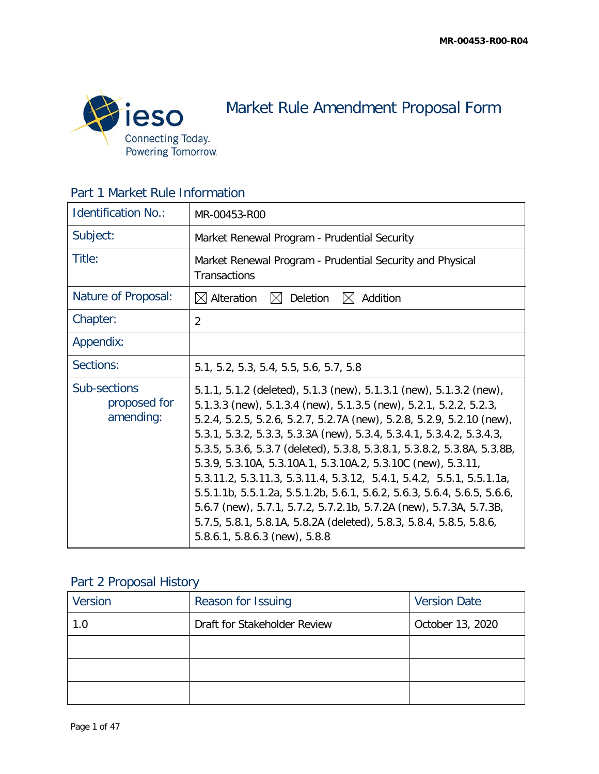

Market Rule Amendment Proposal Form

Part 1 Market Rule Information

| <b>Identification No.:</b>                | MR-00453-R00                                                                                                                                                                                                                                                                                                                                                                                                                                                                                                                                                                                                                                                                                                                                                         |
|-------------------------------------------|----------------------------------------------------------------------------------------------------------------------------------------------------------------------------------------------------------------------------------------------------------------------------------------------------------------------------------------------------------------------------------------------------------------------------------------------------------------------------------------------------------------------------------------------------------------------------------------------------------------------------------------------------------------------------------------------------------------------------------------------------------------------|
| Subject:                                  | Market Renewal Program - Prudential Security                                                                                                                                                                                                                                                                                                                                                                                                                                                                                                                                                                                                                                                                                                                         |
| Title:                                    | Market Renewal Program - Prudential Security and Physical<br>Transactions                                                                                                                                                                                                                                                                                                                                                                                                                                                                                                                                                                                                                                                                                            |
| Nature of Proposal:                       | $\boxtimes$ Alteration<br>Deletion<br>Addition<br>IXI                                                                                                                                                                                                                                                                                                                                                                                                                                                                                                                                                                                                                                                                                                                |
| Chapter:                                  | $\overline{2}$                                                                                                                                                                                                                                                                                                                                                                                                                                                                                                                                                                                                                                                                                                                                                       |
| Appendix:                                 |                                                                                                                                                                                                                                                                                                                                                                                                                                                                                                                                                                                                                                                                                                                                                                      |
| Sections:                                 | 5.1, 5.2, 5.3, 5.4, 5.5, 5.6, 5.7, 5.8                                                                                                                                                                                                                                                                                                                                                                                                                                                                                                                                                                                                                                                                                                                               |
| Sub-sections<br>proposed for<br>amending: | 5.1.1, 5.1.2 (deleted), 5.1.3 (new), 5.1.3.1 (new), 5.1.3.2 (new),<br>5.1.3.3 (new), 5.1.3.4 (new), 5.1.3.5 (new), 5.2.1, 5.2.2, 5.2.3,<br>5.2.4, 5.2.5, 5.2.6, 5.2.7, 5.2.7A (new), 5.2.8, 5.2.9, 5.2.10 (new),<br>5.3.1, 5.3.2, 5.3.3, 5.3.3A (new), 5.3.4, 5.3.4.1, 5.3.4.2, 5.3.4.3,<br>5.3.5, 5.3.6, 5.3.7 (deleted), 5.3.8, 5.3.8.1, 5.3.8.2, 5.3.8A, 5.3.8B,<br>5.3.9, 5.3.10A, 5.3.10A.1, 5.3.10A.2, 5.3.10C (new), 5.3.11,<br>5.3.11.2, 5.3.11.3, 5.3.11.4, 5.3.12, 5.4.1, 5.4.2, 5.5.1, 5.5.1.1a,<br>5.5.1.1b, 5.5.1.2a, 5.5.1.2b, 5.6.1, 5.6.2, 5.6.3, 5.6.4, 5.6.5, 5.6.6,<br>5.6.7 (new), 5.7.1, 5.7.2, 5.7.2.1b, 5.7.2A (new), 5.7.3A, 5.7.3B,<br>5.7.5, 5.8.1, 5.8.1A, 5.8.2A (deleted), 5.8.3, 5.8.4, 5.8.5, 5.8.6,<br>5.8.6.1, 5.8.6.3 (new), 5.8.8 |

# Part 2 Proposal History

| Version | Reason for Issuing           | <b>Version Date</b> |
|---------|------------------------------|---------------------|
| 1.0     | Draft for Stakeholder Review | October 13, 2020    |
|         |                              |                     |
|         |                              |                     |
|         |                              |                     |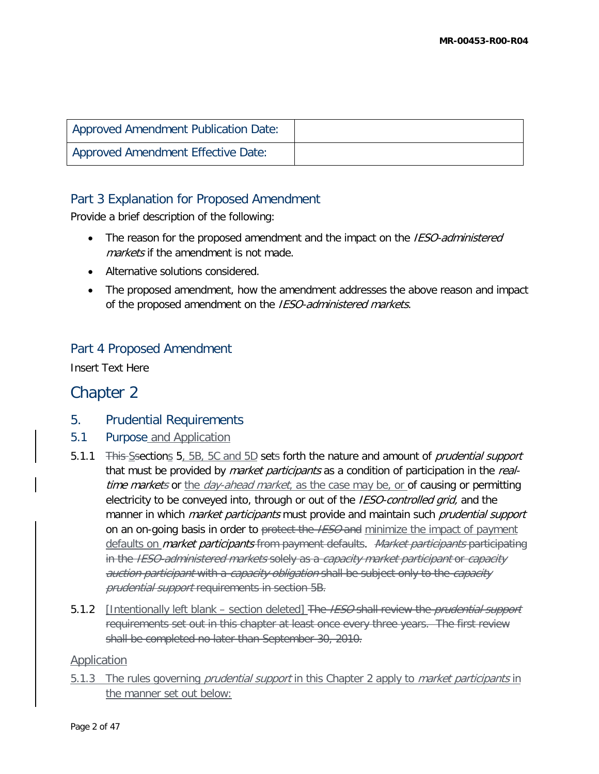| <b>Approved Amendment Publication Date:</b> |  |
|---------------------------------------------|--|
| <b>Approved Amendment Effective Date:</b>   |  |

# Part 3 Explanation for Proposed Amendment

Provide a brief description of the following:

- The reason for the proposed amendment and the impact on the *IESO-administered* markets if the amendment is not made.
- Alternative solutions considered.
- The proposed amendment, how the amendment addresses the above reason and impact of the proposed amendment on the IESO-administered markets.

## Part 4 Proposed Amendment

Insert Text Here

# Chapter 2

- 5. Prudential Requirements
- 5.1 Purpose and Application
- 5.1.1 This Sections 5, 5B, 5C and 5D sets forth the nature and amount of prudential support that must be provided by *market participants* as a condition of participation in the *real*time markets or the day-ahead market, as the case may be, or of causing or permitting electricity to be conveyed into, through or out of the IESO-controlled grid, and the manner in which *market participants* must provide and maintain such *prudential support* on an on-going basis in order to protect the IESO and minimize the impact of payment defaults on *market participants* from payment defaults. *Market participants* participating in the IESO-administered markets solely as a capacity market participant or capacity auction participant with a capacity obligation shall be subject only to the capacity prudential support requirements in section 5B.
- 5.1.2 [Intentionally left blank section deleted] The *IESO* shall review the *prudential support* requirements set out in this chapter at least once every three years. The first review shall be completed no later than September 30, 2010.

### **Application**

5.1.3 The rules governing *prudential support* in this Chapter 2 apply to *market participants* in the manner set out below: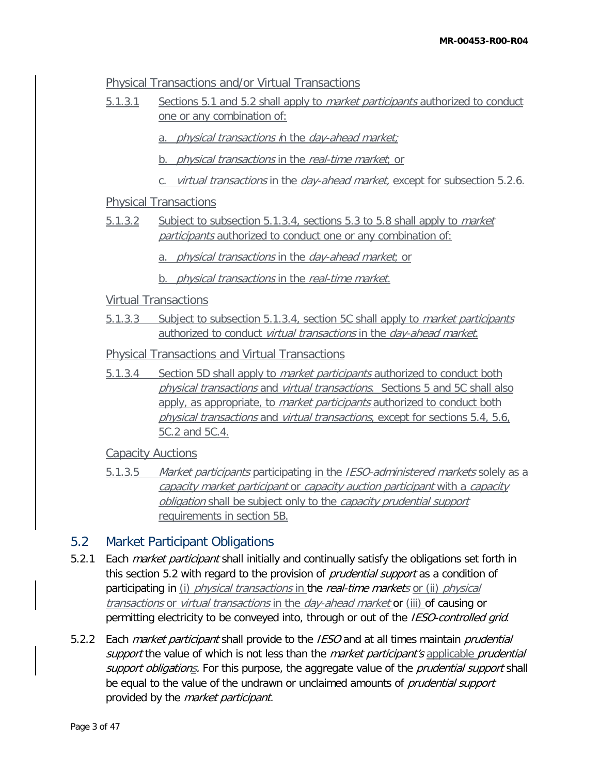#### Physical Transactions and/or Virtual Transactions

- 5.1.3.1 Sections 5.1 and 5.2 shall apply to market participants authorized to conduct one or any combination of:
	- a. *physical transactions in the day-ahead market;*
	- b. physical transactions in the real-time market; or
	- c. virtual transactions in the day-ahead market, except for subsection 5.2.6.

#### Physical Transactions

- 5.1.3.2 Subject to subsection 5.1.3.4, sections 5.3 to 5.8 shall apply to *market* participants authorized to conduct one or any combination of:
	- a. physical transactions in the day-ahead market; or
	- b. physical transactions in the real-time market.

#### Virtual Transactions

5.1.3.3 Subject to subsection 5.1.3.4, section 5C shall apply to *market participants* authorized to conduct virtual transactions in the day-ahead market.

### Physical Transactions and Virtual Transactions

5.1.3.4 Section 5D shall apply to *market participants* authorized to conduct both physical transactions and virtual transactions. Sections 5 and 5C shall also apply, as appropriate, to *market participants* authorized to conduct both physical transactions and virtual transactions, except for sections 5.4, 5.6, 5C.2 and 5C.4.

### Capacity Auctions

5.1.3.5 Market participants participating in the *IESO-administered markets* solely as a capacity market participant or capacity auction participant with a capacity obligation shall be subject only to the *capacity prudential support* requirements in section 5B.

## 5.2 Market Participant Obligations

- 5.2.1 Each *market participant* shall initially and continually satisfy the obligations set forth in this section 5.2 with regard to the provision of *prudential support* as a condition of participating in (i) *physical transactions* in the *real-time markets* or (ii) *physical* transactions or virtual transactions in the day-ahead market or (iii) of causing or permitting electricity to be conveyed into, through or out of the IESO-controlled grid.
- 5.2.2 Each *market participant* shall provide to the *IESO* and at all times maintain *prudential* support the value of which is not less than the market participant's applicable prudential support obligations. For this purpose, the aggregate value of the prudential support shall be equal to the value of the undrawn or unclaimed amounts of *prudential support* provided by the *market participant*.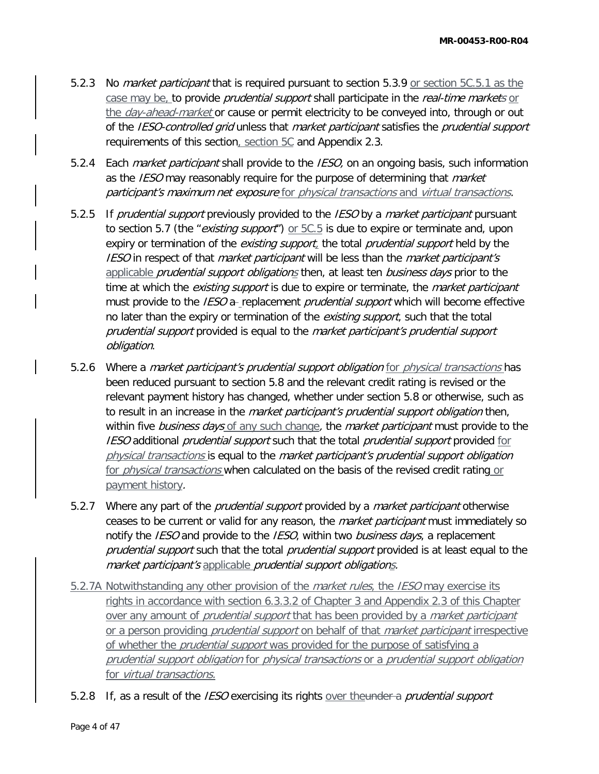- 5.2.3 No *market participant* that is required pursuant to section 5.3.9 or section 5C.5.1 as the case may be, to provide *prudential support* shall participate in the *real-time markets* or the *day-ahead-market* or cause or permit electricity to be conveyed into, through or out of the IESO-controlled grid unless that market participant satisfies the prudential support requirements of this section, section 5C and Appendix 2.3.
- 5.2.4 Each *market participant* shall provide to the *IESO*, on an ongoing basis, such information as the IESO may reasonably require for the purpose of determining that *market* participant's maximum net exposure for physical transactions and virtual transactions.
- 5.2.5 If prudential support previously provided to the IESO by a market participant pursuant to section 5.7 (the "*existing support*") or 5C.5 is due to expire or terminate and, upon expiry or termination of the *existing support*, the total *prudential support* held by the IESO in respect of that *market participant* will be less than the *market participant's* applicable *prudential support obligations* then, at least ten *business days* prior to the time at which the *existing support* is due to expire or terminate, the *market participant* must provide to the *IESO* a- replacement *prudential support* which will become effective no later than the expiry or termination of the existing support, such that the total prudential support provided is equal to the market participant's prudential support obligation.
- 5.2.6 Where a *market participant's prudential support obligation* for *physical transactions* has been reduced pursuant to section 5.8 and the relevant credit rating is revised or the relevant payment history has changed, whether under section 5.8 or otherwise, such as to result in an increase in the *market participant's prudential support obligation* then, within five business days of any such change, the market participant must provide to the IESO additional prudential support such that the total prudential support provided for physical transactions is equal to the market participant's prudential support obligation for *physical transactions* when calculated on the basis of the revised credit rating or payment history.
- 5.2.7 Where any part of the *prudential support* provided by a *market participant* otherwise ceases to be current or valid for any reason, the *market participant* must immediately so notify the IESO and provide to the IESO, within two business days, a replacement prudential support such that the total prudential support provided is at least equal to the market participant's applicable prudential support obligations.
- 5.2.7A Notwithstanding any other provision of the *market rules*, the *IESO* may exercise its rights in accordance with section 6.3.3.2 of Chapter 3 and Appendix 2.3 of this Chapter over any amount of *prudential support* that has been provided by a *market participant* or a person providing *prudential support* on behalf of that *market participant* irrespective of whether the *prudential support* was provided for the purpose of satisfying a prudential support obligation for physical transactions or a prudential support obligation for *virtual transactions*.
- 5.2.8 If, as a result of the *IESO* exercising its rights over the under a *prudential support*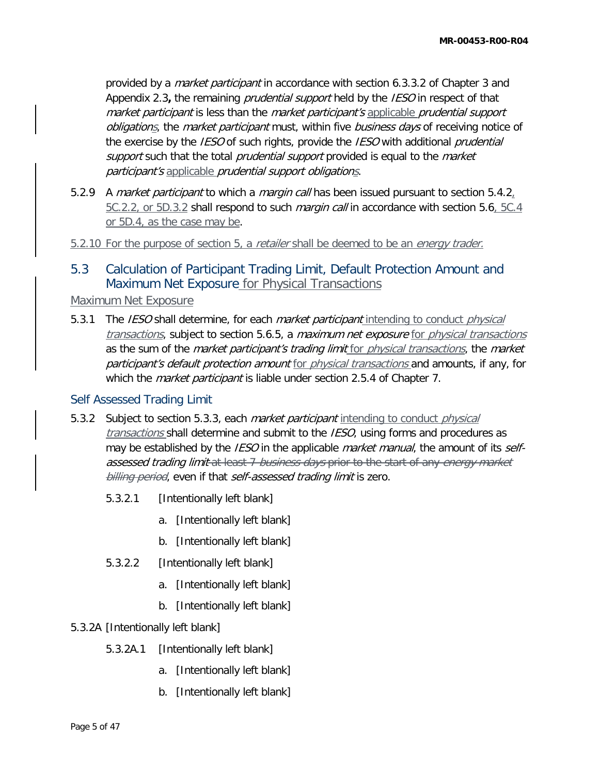provided by a *market participant* in accordance with section 6.3.3.2 of Chapter 3 and Appendix 2.3, the remaining *prudential support* held by the *IESO* in respect of that market participant is less than the market participant's applicable prudential support obligations, the market participant must, within five business days of receiving notice of the exercise by the IESO of such rights, provide the IESO with additional prudential support such that the total prudential support provided is equal to the market participant's applicable prudential support obligations.

- 5.2.9 A market participant to which a margin call has been issued pursuant to section  $5.4.2<sub>1</sub>$ 5C.2.2, or 5D.3.2 shall respond to such *margin call* in accordance with section 5.6, 5C.4 or 5D.4, as the case may be.
- 5.2.10 For the purpose of section 5, a *retailer* shall be deemed to be an *energy trader.*
- 5.3 Calculation of Participant Trading Limit, Default Protection Amount and Maximum Net Exposure for Physical Transactions

### Maximum Net Exposure

5.3.1 The *IESO* shall determine, for each *market participant* intending to conduct *physical* transactions, subject to section 5.6.5, a *maximum net exposure* for *physical transactions* as the sum of the *market participant's trading limit* for *physical transactions*, the *market* participant's default protection amount for physical transactions and amounts, if any, for which the *market participant* is liable under section 2.5.4 of Chapter 7.

### Self Assessed Trading Limit

- 5.3.2 Subject to section 5.3.3, each *market participant* intending to conduct *physical* transactions shall determine and submit to the IESO, using forms and procedures as may be established by the *IESO* in the applicable *market manual*, the amount of its *self*assessed trading limit at least 7 business days prior to the start of any energy market billing period, even if that self-assessed trading limit is zero.
	- 5.3.2.1 [Intentionally left blank]
		- a. [Intentionally left blank]
		- b. [Intentionally left blank]
	- 5.3.2.2 [Intentionally left blank]
		- a. [Intentionally left blank]
		- b. [Intentionally left blank]
- 5.3.2A [Intentionally left blank]
	- 5.3.2A.1 [Intentionally left blank]
		- a. [Intentionally left blank]
		- b. [Intentionally left blank]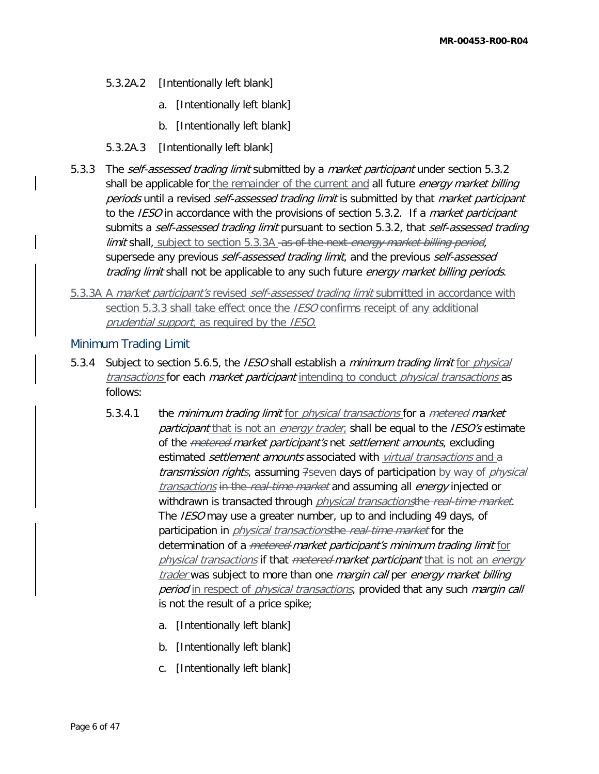- 5.3.2A.2 [Intentionally left blank]
	- a. [Intentionally left blank]
	- b. [Intentionally left blank]
- 5.3.2A.3 [Intentionally left blank]
- 5.3.3 The *self-assessed trading limit* submitted by a *market participant* under section 5.3.2 shall be applicable for the remainder of the current and all future *energy market billing* periods until a revised self-assessed trading limit is submitted by that market participant to the IESO in accordance with the provisions of section 5.3.2. If a *market participant* submits a self-assessed trading limit pursuant to section 5.3.2, that self-assessed trading limit shall, subject to section 5.3.3A as of the next energy market billing period, supersede any previous self-assessed trading limit, and the previous self-assessed trading limit shall not be applicable to any such future energy market billing periods.
- 5.3.3A A market participant's revised self-assessed trading limit submitted in accordance with section 5.3.3 shall take effect once the *IESO* confirms receipt of any additional prudential support, as required by the IESO.

### Minimum Trading Limit

- 5.3.4 Subject to section 5.6.5, the IESO shall establish a *minimum trading limit* for *physical* transactions for each *market participant* intending to conduct *physical transactions* as follows:
	- 5.3.4.1 the minimum trading limit for physical transactions for a metered market participant that is not an energy trader, shall be equal to the IESO's estimate of the *metered market participant's* net *settlement amounts*, excluding estimated *settlement amounts* associated with *virtual transactions* and a transmission rights, assuming 7seven days of participation by way of physical transactions in the real-time market and assuming all energy injected or withdrawn is transacted through *physical transactions*the real-time market. The IESO may use a greater number, up to and including 49 days, of participation in *physical transactions* the real-time market for the determination of a *metered market participant's minimum trading limit* for physical transactions if that metered market participant that is not an energy trader was subject to more than one *margin call* per energy market billing period in respect of physical transactions, provided that any such margin call is not the result of a price spike;
		- a. [Intentionally left blank]
		- b. [Intentionally left blank]
		- c. [Intentionally left blank]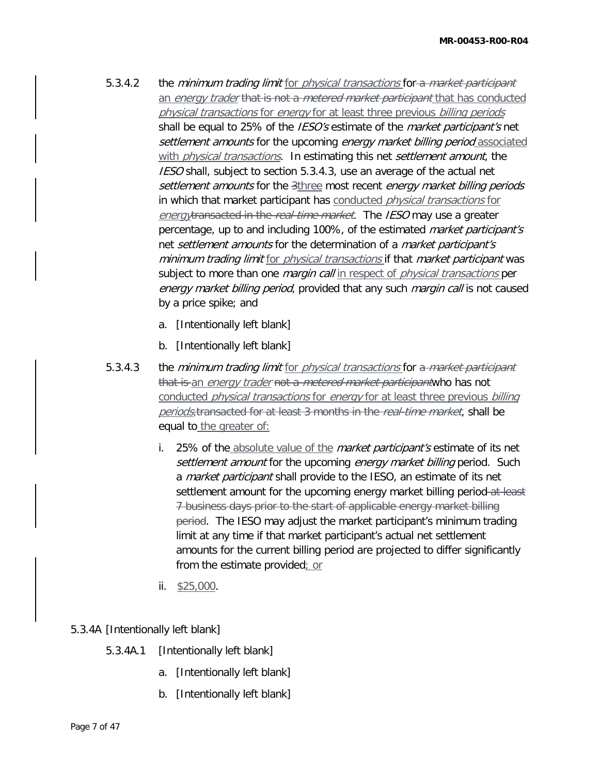- 5.3.4.2 the minimum trading limit for physical transactions for a market participant an energy trader that is not a metered market participant that has conducted physical transactions for energy for at least three previous billing periods shall be equal to 25% of the *IESO's* estimate of the *market participant's* net settlement amounts for the upcoming energy market billing period associated with *physical transactions*. In estimating this net *settlement amount*, the IESO shall, subject to section 5.3.4.3, use an average of the actual net settlement amounts for the 3three most recent energy market billing periods in which that market participant has conducted *physical transactions* for energytransacted in the real-time market. The IESO may use a greater percentage, up to and including 100%, of the estimated market participant's net settlement amounts for the determination of a market participant's minimum trading limit for physical transactions if that market participant was subject to more than one *margin call* in respect of *physical transactions* per energy market billing period, provided that any such margin call is not caused by a price spike; and
	- a. [Intentionally left blank]
	- b. [Intentionally left blank]
- 5.3.4.3 the *minimum trading limit* for *physical transactions* for a *market participant* that is an energy trader not a metered market participant who has not conducted *physical transactions* for *energy* for at least three previous *billing* periods, transacted for at least 3 months in the real-time market, shall be equal to the greater of:
	- i. 25% of the absolute value of the *market participant's* estimate of its net settlement amount for the upcoming energy market billing period. Such a *market participant* shall provide to the IESO, an estimate of its net settlement amount for the upcoming energy market billing period-at least 7 business days prior to the start of applicable energy market billing period. The IESO may adjust the market participant's minimum trading limit at any time if that market participant's actual net settlement amounts for the current billing period are projected to differ significantly from the estimate provided; or
	- ii. \$25,000.

#### 5.3.4A [Intentionally left blank]

- 5.3.4A.1 [Intentionally left blank]
	- a. [Intentionally left blank]
	- b. [Intentionally left blank]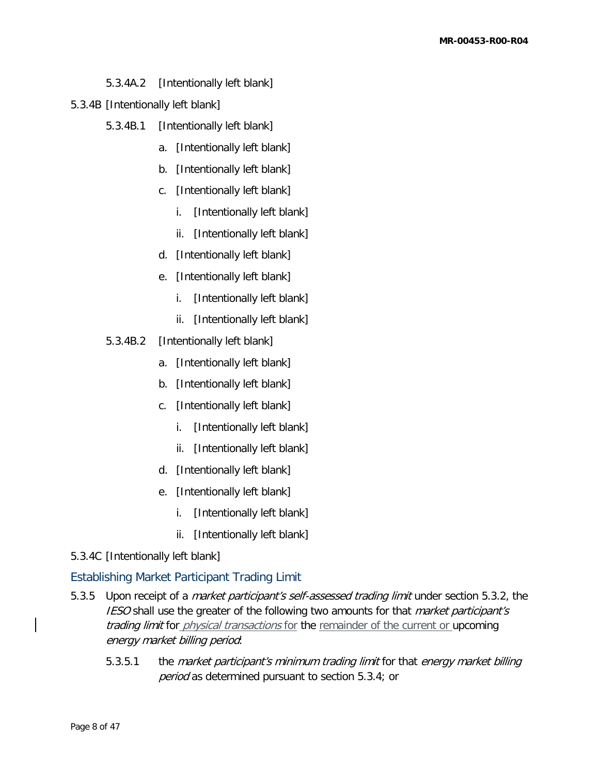## 5.3.4A.2 [Intentionally left blank]

- 5.3.4B [Intentionally left blank]
	- 5.3.4B.1 [Intentionally left blank]
		- a. [Intentionally left blank]
		- b. [Intentionally left blank]
		- c. [Intentionally left blank]
			- i. [Intentionally left blank]
			- ii. [Intentionally left blank]
		- d. [Intentionally left blank]
		- e. [Intentionally left blank]
			- i. [Intentionally left blank]
			- ii. [Intentionally left blank]
	- 5.3.4B.2 [Intentionally left blank]
		- a. [Intentionally left blank]
		- b. [Intentionally left blank]
		- c. [Intentionally left blank]
			- i. [Intentionally left blank]
			- ii. [Intentionally left blank]
		- d. [Intentionally left blank]
		- e. [Intentionally left blank]
			- i. [Intentionally left blank]
			- ii. [Intentionally left blank]
- 5.3.4C [Intentionally left blank]

### Establishing Market Participant Trading Limit

- 5.3.5 Upon receipt of a *market participant's self-assessed trading limit* under section 5.3.2, the **IESO** shall use the greater of the following two amounts for that *market participant's* trading limit for *physical transactions* for the remainder of the current or upcoming energy market billing period:
	- 5.3.5.1 the *market participant's minimum trading limit* for that *energy market billing* period as determined pursuant to section 5.3.4; or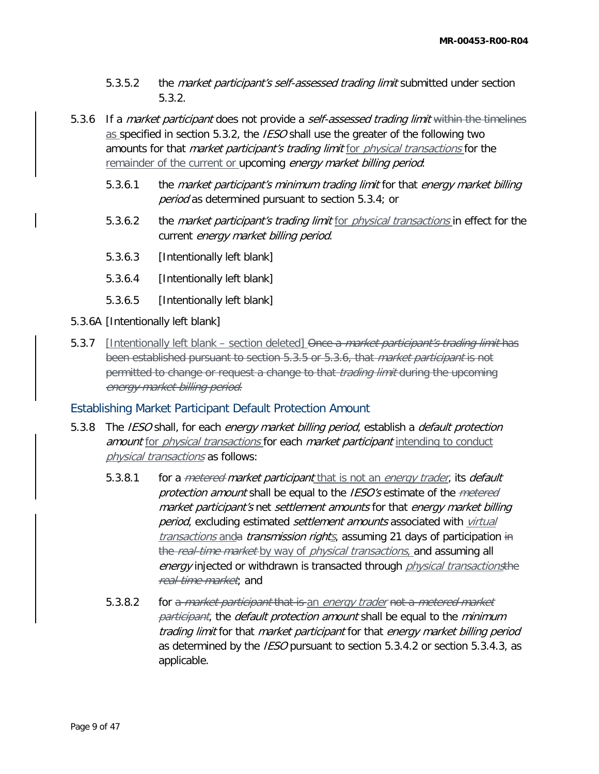- 5.3.5.2 the *market participant's self-assessed trading limit* submitted under section 5.3.2.
- 5.3.6 If a *market participant* does not provide a *self-assessed trading limit* within the timelines as specified in section 5.3.2, the IESO shall use the greater of the following two amounts for that *market participant's trading limit* for *physical transactions* for the remainder of the current or upcoming energy market billing period:
	- 5.3.6.1 the *market participant's minimum trading limit* for that *energy market billing* period as determined pursuant to section 5.3.4; or
	- 5.3.6.2 the *market participant's trading limit* for *physical transactions* in effect for the current energy market billing period.
	- 5.3.6.3 [Intentionally left blank]
	- 5.3.6.4 [Intentionally left blank]
	- 5.3.6.5 [Intentionally left blank]
- 5.3.6A [Intentionally left blank]
- 5.3.7 [Intentionally left blank section deleted] Once a *market participant's trading limit* has been established pursuant to section 5.3.5 or 5.3.6, that *market participant* is not permitted to change or request a change to that *trading limit* during the upcoming energy market billing period.

### Establishing Market Participant Default Protection Amount

- 5.3.8 The IESO shall, for each energy market billing period, establish a default protection amount for *physical transactions* for each *market participant* intending to conduct physical transactions as follows:
	- 5.3.8.1 for a metered-market participant that is not an energy trader, its default protection amount shall be equal to the IESO's estimate of the *metered* market participant's net settlement amounts for that energy market billing period, excluding estimated settlement amounts associated with virtual transactions and a transmission rights, assuming 21 days of participation in the real-time market by way of physical transactions, and assuming all energy injected or withdrawn is transacted through *physical transactions*the real-time market; and
	- 5.3.8.2 for a *market participant* that is an energy trader not a *metered market* participant, the *default protection amount* shall be equal to the *minimum* trading limit for that market participant for that energy market billing period as determined by the *IESO* pursuant to section 5.3.4.2 or section 5.3.4.3, as applicable.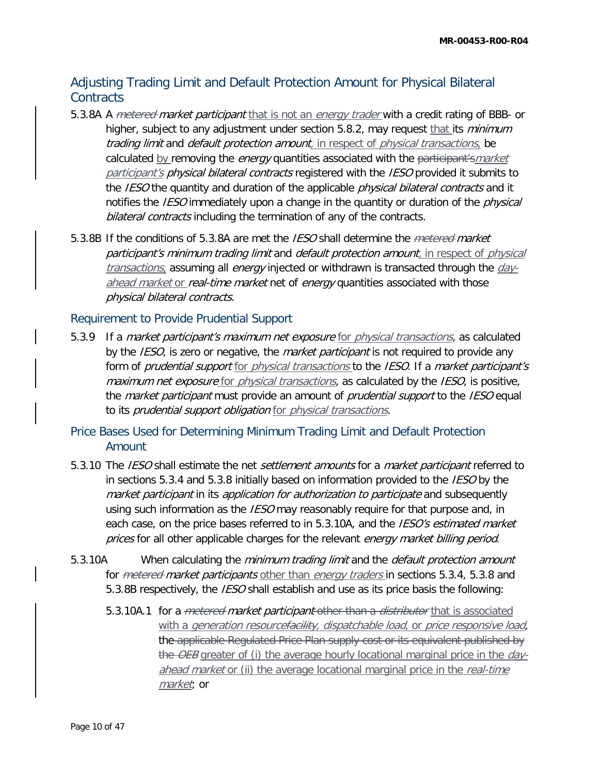# Adjusting Trading Limit and Default Protection Amount for Physical Bilateral **Contracts**

- 5.3.8A A metered market participant that is not an energy trader with a credit rating of BBB- or higher, subject to any adjustment under section 5.8.2, may request that its *minimum* trading limit and default protection amount, in respect of physical transactions, be calculated by removing the *energy* quantities associated with the participant's market participant's physical bilateral contracts registered with the IESO provided it submits to the IESO the quantity and duration of the applicable *physical bilateral contracts* and it notifies the *IESO* immediately upon a change in the quantity or duration of the *physical* bilateral contracts including the termination of any of the contracts.
- 5.3.8B If the conditions of 5.3.8A are met the *IESO* shall determine the *metered-market* participant's minimum trading limit and default protection amount, in respect of physical  $transactions$ , assuming all energy injected or withdrawn is transacted through the  $day$ ahead market or real-time market net of energy quantities associated with those physical bilateral contracts.

### Requirement to Provide Prudential Support

- 5.3.9 If a *market participant's maximum net exposure* for *physical transactions*, as calculated by the *IESO*, is zero or negative, the *market participant* is not required to provide any form of *prudential support* for *physical transactions* to the *IESO*. If a *market participant's* maximum net exposure for physical transactions, as calculated by the IESO, is positive, the *market participant* must provide an amount of *prudential support* to the IESO equal to its *prudential support obligation* for *physical transactions*.
- Price Bases Used for Determining Minimum Trading Limit and Default Protection Amount
- 5.3.10 The *IESO* shall estimate the net *settlement amounts* for a *market participant* referred to in sections 5.3.4 and 5.3.8 initially based on information provided to the  $\textit{IESO}$  by the market participant in its application for authorization to participate and subsequently using such information as the IESO may reasonably require for that purpose and, in each case, on the price bases referred to in 5.3.10A, and the IESO's estimated market prices for all other applicable charges for the relevant energy market billing period.
- 5.3.10A When calculating the *minimum trading limit* and the *default protection amount* for *metered market participants* other than *energy traders* in sections 5.3.4, 5.3.8 and 5.3.8B respectively, the *IESO* shall establish and use as its price basis the following:
	- 5.3.10A.1 for a *metered market participant* other than a *distributor* that is associated with a generation resourcefacility, dispatchable load, or price responsive load, the applicable Regulated Price Plan supply cost or its equivalent published by the OEB greater of (i) the average hourly locational marginal price in the dayahead market or (ii) the average locational marginal price in the real-time market; or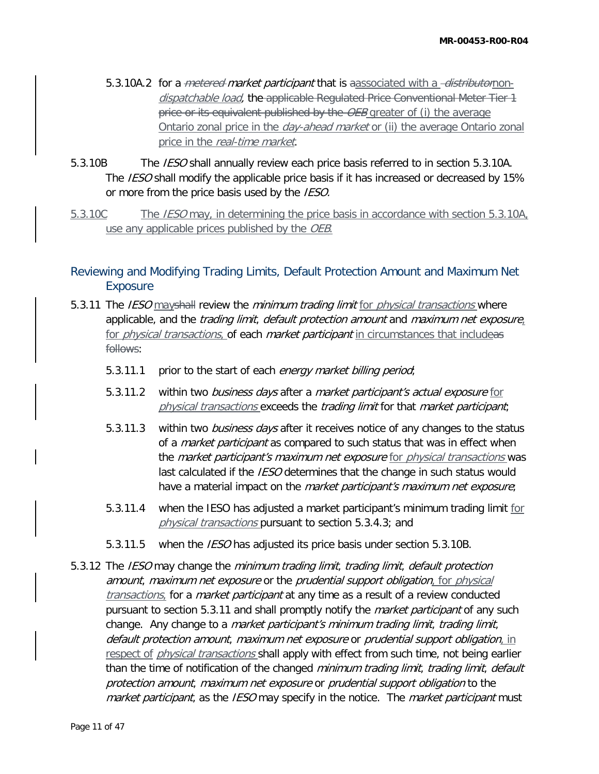- 5.3.10A.2 for a *metered market participant* that is aassociated with a *-distributor*nondispatchable load, the applicable Regulated Price Conventional Meter Tier 1 price or its equivalent published by the OEB greater of (i) the average Ontario zonal price in the *day-ahead market* or (ii) the average Ontario zonal price in the real-time market.
- 5.3.10B The *IESO* shall annually review each price basis referred to in section 5.3.10A. The *IESO* shall modify the applicable price basis if it has increased or decreased by 15% or more from the price basis used by the *IESO*.
- 5.3.10C The *IESO* may, in determining the price basis in accordance with section 5.3.10A, use any applicable prices published by the OEB.

# Reviewing and Modifying Trading Limits, Default Protection Amount and Maximum Net Exposure

- 5.3.11 The *IESO* mayshall review the *minimum trading limit* for *physical transactions* where applicable, and the *trading limit, default protection amount* and *maximum net exposure*, for *physical transactions*, of each *market participant* in circumstances that includeas follows:
	- 5.3.11.1 prior to the start of each energy market billing period;
	- 5.3.11.2 within two business days after a market participant's actual exposure for physical transactions exceeds the trading limit for that market participant;
	- 5.3.11.3 within two *business days* after it receives notice of any changes to the status of a *market participant* as compared to such status that was in effect when the *market participant's maximum net exposure* for *physical transactions* was last calculated if the *IESO* determines that the change in such status would have a material impact on the *market participant's maximum net exposure*;
	- 5.3.11.4 when the IESO has adjusted a market participant's minimum trading limit for physical transactions pursuant to section 5.3.4.3; and
	- 5.3.11.5 when the *IESO* has adjusted its price basis under section 5.3.10B.
- 5.3.12 The IESO may change the minimum trading limit, trading limit, default protection amount, maximum net exposure or the prudential support obligation, for physical transactions, for a market participant at any time as a result of a review conducted pursuant to section 5.3.11 and shall promptly notify the *market participant* of any such change. Any change to a *market participant's minimum trading limit*, *trading limit*, default protection amount, maximum net exposure or prudential support obligation, in respect of *physical transactions* shall apply with effect from such time, not being earlier than the time of notification of the changed *minimum trading limit, trading limit, default* protection amount, maximum net exposure or prudential support obligation to the market participant, as the IESO may specify in the notice. The market participant must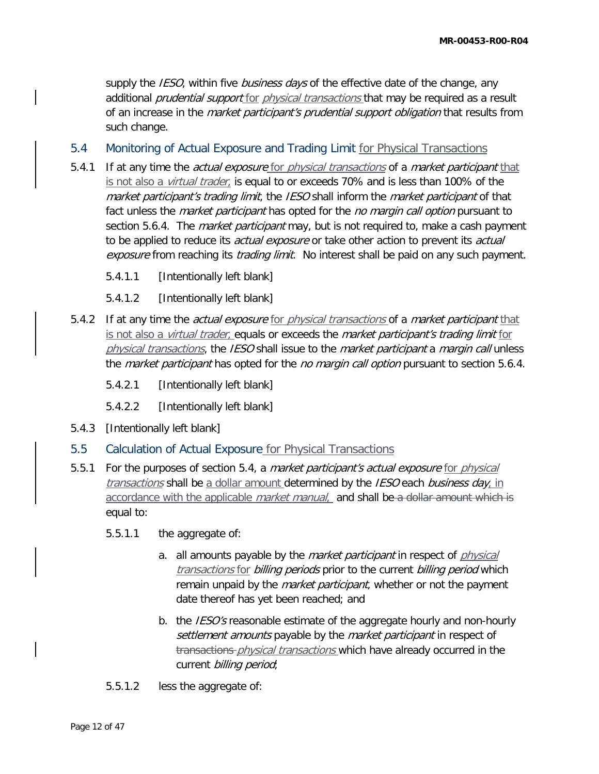supply the *IESO*, within five *business days* of the effective date of the change, any additional *prudential support* for *physical transactions* that may be required as a result of an increase in the *market participant's prudential support obligation* that results from such change.

- 5.4 Monitoring of Actual Exposure and Trading Limit for Physical Transactions
- 5.4.1 If at any time the *actual exposure* for *physical transactions* of a *market participant* that is not also a *virtual trader*, is equal to or exceeds 70% and is less than 100% of the market participant's trading limit, the IESO shall inform the market participant of that fact unless the *market participant* has opted for the *no margin call option* pursuant to section 5.6.4. The *market participant* may, but is not required to, make a cash payment to be applied to reduce its *actual exposure* or take other action to prevent its *actual* exposure from reaching its *trading limit*. No interest shall be paid on any such payment.
	- 5.4.1.1 [Intentionally left blank]
	- 5.4.1.2 [Intentionally left blank]
- 5.4.2 If at any time the *actual exposure* for *physical transactions* of a *market participant* that is not also a *virtual trader*, equals or exceeds the *market participant's trading limit* for physical transactions, the IESO shall issue to the market participant a margin call unless the *market participant* has opted for the *no margin call option* pursuant to section 5.6.4.
	- 5.4.2.1 [Intentionally left blank]
	- 5.4.2.2 [Intentionally left blank]
- 5.4.3 [Intentionally left blank]
- 5.5 Calculation of Actual Exposure for Physical Transactions
- 5.5.1 For the purposes of section 5.4, a *market participant's actual exposure* for *physical* transactions shall be a dollar amount determined by the IESO each business day, in accordance with the applicable *market manual*, and shall be a dollar amount which is equal to:
	- 5.5.1.1 the aggregate of:
		- a. all amounts payable by the *market participant* in respect of *physical* transactions for billing periods prior to the current billing period which remain unpaid by the *market participant*, whether or not the payment date thereof has yet been reached; and
		- b. the *IESO's* reasonable estimate of the aggregate hourly and non-hourly settlement amounts payable by the market participant in respect of transactions *physical transactions* which have already occurred in the current *billing period*;
	- 5.5.1.2 less the aggregate of: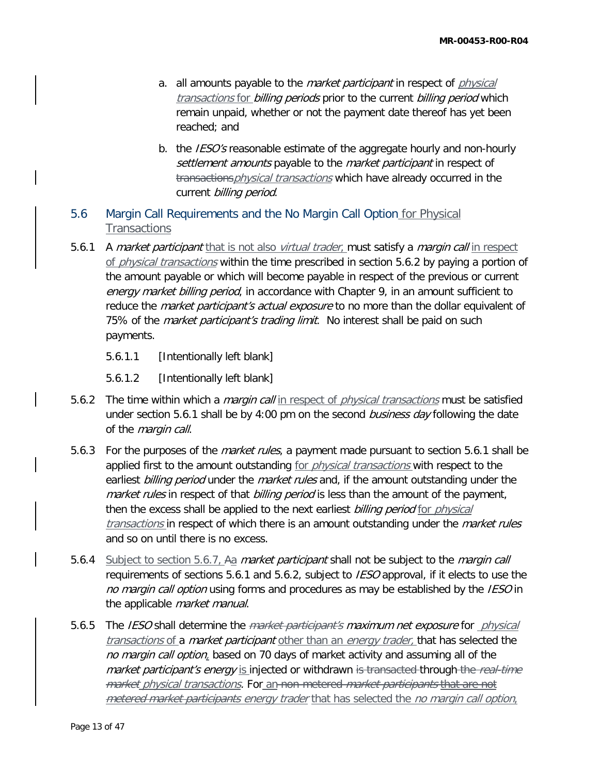- a. all amounts payable to the *market participant* in respect of *physical* transactions for billing periods prior to the current billing period which remain unpaid, whether or not the payment date thereof has yet been reached; and
- b. the *IESO's* reasonable estimate of the aggregate hourly and non-hourly settlement amounts payable to the market participant in respect of transactions *physical transactions* which have already occurred in the current billing period.
- 5.6 Margin Call Requirements and the No Margin Call Option for Physical **Transactions**
- 5.6.1 A market participant that is not also *virtual trader*, must satisfy a *margin call* in respect of *physical transactions* within the time prescribed in section 5.6.2 by paying a portion of the amount payable or which will become payable in respect of the previous or current energy market billing period, in accordance with Chapter 9, in an amount sufficient to reduce the *market participant's actual exposure* to no more than the dollar equivalent of 75% of the *market participant's trading limit*. No interest shall be paid on such payments.
	- 5.6.1.1 [Intentionally left blank]
	- 5.6.1.2 [Intentionally left blank]
- 5.6.2 The time within which a *margin call* in respect of *physical transactions* must be satisfied under section 5.6.1 shall be by 4:00 pm on the second *business day* following the date of the *margin call*.
- 5.6.3 For the purposes of the *market rules*, a payment made pursuant to section 5.6.1 shall be applied first to the amount outstanding for *physical transactions* with respect to the earliest *billing period* under the *market rules* and, if the amount outstanding under the market rules in respect of that billing period is less than the amount of the payment, then the excess shall be applied to the next earliest *billing period* for *physical* transactions in respect of which there is an amount outstanding under the *market rules* and so on until there is no excess.
- 5.6.4 Subject to section 5.6.7, Aa *market participant* shall not be subject to the *margin call* requirements of sections 5.6.1 and 5.6.2, subject to IESO approval, if it elects to use the no margin call option using forms and procedures as may be established by the IESO in the applicable *market manual*.
- 5.6.5 The IESO shall determine the market participant's maximum net exposure for physical transactions of a *market participant* other than an *energy trader*, that has selected the no margin call option, based on 70 days of market activity and assuming all of the market participant's energy is injected or withdrawn is transacted through the real-time market physical transactions. For an non-metered market participants that are not metered market participants energy trader that has selected the no margin call option,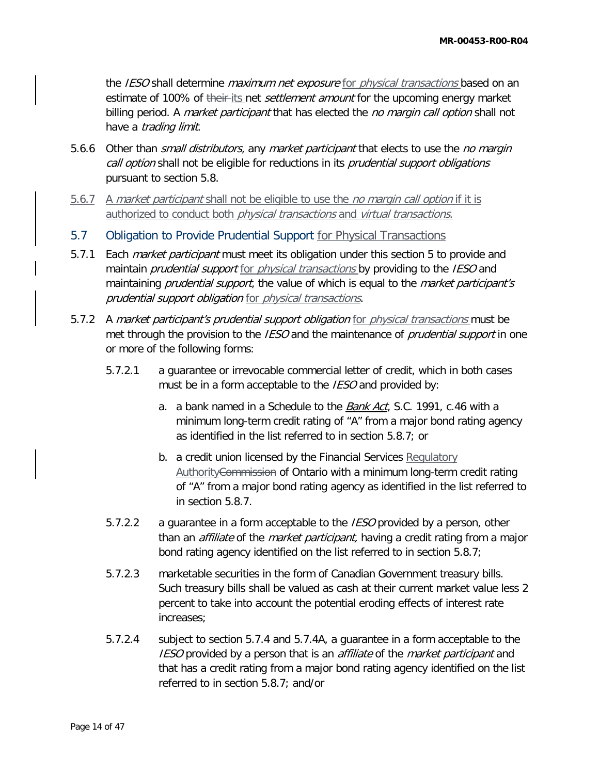the IESO shall determine *maximum net exposure* for *physical transactions* based on an estimate of 100% of the intitlecture is *esttlement amount* for the upcoming energy market billing period. A *market participant* that has elected the *no margin call option* shall not have a *trading limit*.

- 5.6.6 Other than *small distributors*, any *market participant* that elects to use the *no margin* call option shall not be eligible for reductions in its *prudential support obligations* pursuant to section 5.8.
- 5.6.7 A market participant shall not be eligible to use the no margin call option if it is authorized to conduct both *physical transactions* and *virtual transactions*.
- 5.7 Obligation to Provide Prudential Support for Physical Transactions
- 5.7.1 Each *market participant* must meet its obligation under this section 5 to provide and maintain *prudential support* for *physical transactions* by providing to the IESO and maintaining *prudential support*, the value of which is equal to the *market participant's* prudential support obligation for physical transactions.
- 5.7.2 A market participant's prudential support obligation for *physical transactions* must be met through the provision to the *IESO* and the maintenance of *prudential support* in one or more of the following forms:
	- 5.7.2.1 a guarantee or irrevocable commercial letter of credit, which in both cases must be in a form acceptable to the *IESO* and provided by:
		- a. a bank named in a Schedule to the Bank Act, S.C. 1991, c.46 with a minimum long-term credit rating of "A" from a major bond rating agency as identified in the list referred to in section 5.8.7; or
		- b. a credit union licensed by the Financial Services Regulatory Authority<del>Commission</del> of Ontario with a minimum long-term credit rating of "A" from a major bond rating agency as identified in the list referred to in section 5.8.7.
	- 5.7.2.2 a guarantee in a form acceptable to the *IESO* provided by a person, other than an *affiliate* of the *market participant*, having a credit rating from a major bond rating agency identified on the list referred to in section 5.8.7;
	- 5.7.2.3 marketable securities in the form of Canadian Government treasury bills. Such treasury bills shall be valued as cash at their current market value less 2 percent to take into account the potential eroding effects of interest rate increases;
	- 5.7.2.4 subject to section 5.7.4 and 5.7.4A, a guarantee in a form acceptable to the IESO provided by a person that is an *affiliate* of the *market participant* and that has a credit rating from a major bond rating agency identified on the list referred to in section 5.8.7; and/or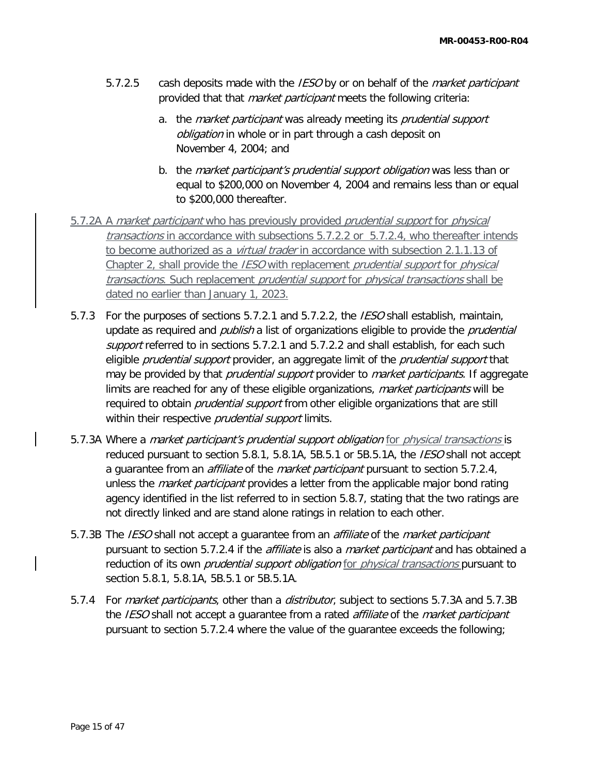- 5.7.2.5 cash deposits made with the *IESO* by or on behalf of the *market participant* provided that that *market participant* meets the following criteria:
	- a. the *market participant* was already meeting its *prudential support* obligation in whole or in part through a cash deposit on November 4, 2004; and
	- b. the *market participant's prudential support obligation* was less than or equal to \$200,000 on November 4, 2004 and remains less than or equal to \$200,000 thereafter.
- 5.7.2A A *market participant* who has previously provided *prudential support* for *physical* transactions in accordance with subsections 5.7.2.2 or 5.7.2.4, who thereafter intends to become authorized as a *virtual trader* in accordance with subsection 2.1.1.13 of Chapter 2, shall provide the IESO with replacement prudential support for physical transactions. Such replacement prudential support for physical transactions shall be dated no earlier than January 1, 2023.
- 5.7.3 For the purposes of sections 5.7.2.1 and 5.7.2.2, the *IESO* shall establish, maintain, update as required and *publish* a list of organizations eligible to provide the *prudential* support referred to in sections 5.7.2.1 and 5.7.2.2 and shall establish, for each such eligible *prudential support* provider, an aggregate limit of the *prudential support* that may be provided by that *prudential support* provider to *market participants*. If aggregate limits are reached for any of these eligible organizations, *market participants* will be required to obtain *prudential support* from other eligible organizations that are still within their respective prudential support limits.
- 5.7.3A Where a *market participant's prudential support obligation* for *physical transactions* is reduced pursuant to section 5.8.1, 5.8.1A, 5B.5.1 or 5B.5.1A, the *IESO* shall not accept a guarantee from an *affiliate* of the *market participant* pursuant to section 5.7.2.4, unless the *market participant* provides a letter from the applicable major bond rating agency identified in the list referred to in section 5.8.7, stating that the two ratings are not directly linked and are stand alone ratings in relation to each other.
- 5.7.3B The IESO shall not accept a guarantee from an *affiliate* of the *market participant* pursuant to section 5.7.2.4 if the *affiliate* is also a *market participant* and has obtained a reduction of its own *prudential support obligation* for *physical transactions* pursuant to section 5.8.1, 5.8.1A, 5B.5.1 or 5B.5.1A.
- 5.7.4 For *market participants*, other than a *distributor*, subject to sections 5.7.3A and 5.7.3B the IESO shall not accept a quarantee from a rated *affiliate* of the *market participant* pursuant to section 5.7.2.4 where the value of the guarantee exceeds the following;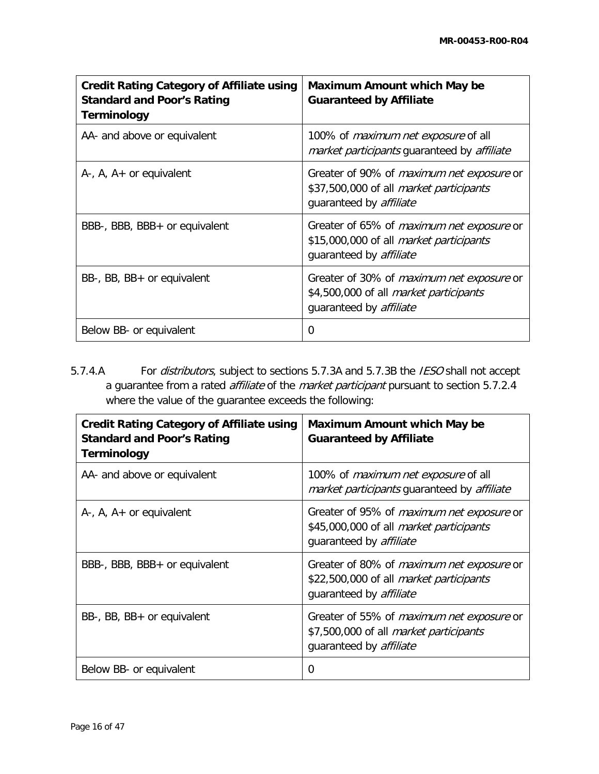| <b>Credit Rating Category of Affiliate using</b><br><b>Standard and Poor's Rating</b><br>Terminology | Maximum Amount which May be<br><b>Guaranteed by Affiliate</b>                                                                        |
|------------------------------------------------------------------------------------------------------|--------------------------------------------------------------------------------------------------------------------------------------|
| AA- and above or equivalent                                                                          | 100% of <i>maximum net exposure</i> of all<br>market participants guaranteed by affiliate                                            |
| $A-$ , $A$ , $A+$ or equivalent                                                                      | Greater of 90% of <i>maximum net exposure</i> or<br>\$37,500,000 of all <i>market participants</i><br>quaranteed by <i>affiliate</i> |
| BBB-, BBB, BBB+ or equivalent                                                                        | Greater of 65% of <i>maximum net exposure</i> or<br>\$15,000,000 of all <i>market participants</i><br>quaranteed by <i>affiliate</i> |
| BB-, BB, BB+ or equivalent                                                                           | Greater of 30% of <i>maximum net exposure</i> or<br>\$4,500,000 of all <i>market participants</i><br>quaranteed by <i>affiliate</i>  |
| Below BB- or equivalent                                                                              | 0                                                                                                                                    |

5.7.4.A For *distributors*, subject to sections 5.7.3A and 5.7.3B the *IESO* shall not accept a guarantee from a rated *affiliate* of the *market participant* pursuant to section 5.7.2.4 where the value of the guarantee exceeds the following:

| <b>Credit Rating Category of Affiliate using</b><br><b>Standard and Poor's Rating</b><br><b>Terminology</b> | <b>Maximum Amount which May be</b><br><b>Guaranteed by Affiliate</b>                                                                 |
|-------------------------------------------------------------------------------------------------------------|--------------------------------------------------------------------------------------------------------------------------------------|
| AA- and above or equivalent                                                                                 | 100% of <i>maximum net exposure</i> of all<br>market participants guaranteed by affiliate                                            |
| $A-$ , $A$ , $A+$ or equivalent                                                                             | Greater of 95% of <i>maximum net exposure</i> or<br>\$45,000,000 of all <i>market participants</i><br>quaranteed by <i>affiliate</i> |
| BBB-, BBB, BBB+ or equivalent                                                                               | Greater of 80% of <i>maximum net exposure</i> or<br>\$22,500,000 of all <i>market participants</i><br>quaranteed by <i>affiliate</i> |
| BB-, BB, BB+ or equivalent                                                                                  | Greater of 55% of <i>maximum net exposure</i> or<br>\$7,500,000 of all <i>market participants</i><br>quaranteed by <i>affiliate</i>  |
| Below BB- or equivalent                                                                                     | 0                                                                                                                                    |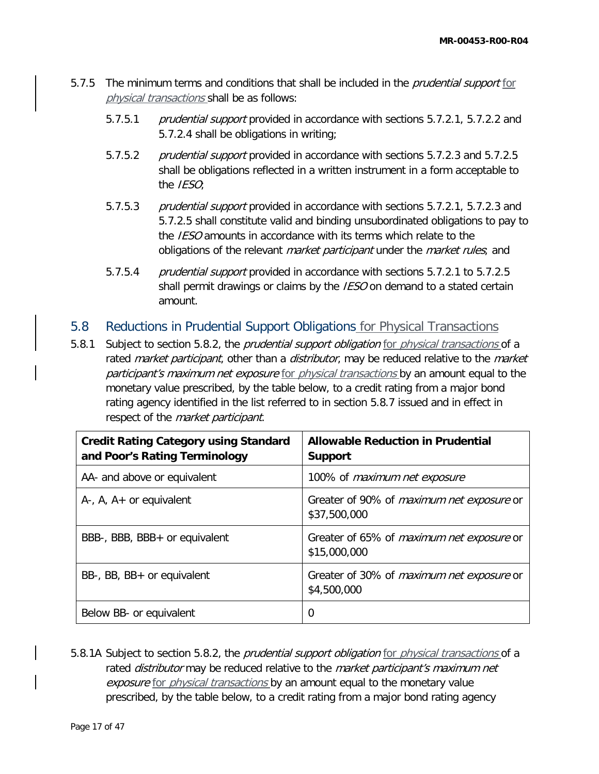- 5.7.5 The minimum terms and conditions that shall be included in the *prudential support* for physical transactions shall be as follows:
	- 5.7.5.1 prudential support provided in accordance with sections 5.7.2.1, 5.7.2.2 and 5.7.2.4 shall be obligations in writing;
	- 5.7.5.2 prudential support provided in accordance with sections 5.7.2.3 and 5.7.2.5 shall be obligations reflected in a written instrument in a form acceptable to the IESO;
	- 5.7.5.3 prudential support provided in accordance with sections 5.7.2.1, 5.7.2.3 and 5.7.2.5 shall constitute valid and binding unsubordinated obligations to pay to the IESO amounts in accordance with its terms which relate to the obligations of the relevant *market participant* under the *market rules*; and
	- 5.7.5.4 prudential support provided in accordance with sections 5.7.2.1 to 5.7.2.5 shall permit drawings or claims by the *IESO* on demand to a stated certain amount.

## 5.8 Reductions in Prudential Support Obligations for Physical Transactions

5.8.1 Subject to section 5.8.2, the *prudential support obligation* for *physical transactions* of a rated *market participant*, other than a *distributor*, may be reduced relative to the *market* participant's maximum net exposure for physical transactions by an amount equal to the monetary value prescribed, by the table below, to a credit rating from a major bond rating agency identified in the list referred to in section 5.8.7 issued and in effect in respect of the *market participant*.

| <b>Credit Rating Category using Standard</b><br>and Poor's Rating Terminology | <b>Allowable Reduction in Prudential</b><br><b>Support</b>       |
|-------------------------------------------------------------------------------|------------------------------------------------------------------|
| AA- and above or equivalent                                                   | 100% of <i>maximum net exposure</i>                              |
| $A-$ , $A$ , $A+$ or equivalent                                               | Greater of 90% of <i>maximum net exposure</i> or<br>\$37,500,000 |
| BBB-, BBB, BBB+ or equivalent                                                 | Greater of 65% of <i>maximum net exposure</i> or<br>\$15,000,000 |
| BB-, BB, BB+ or equivalent                                                    | Greater of 30% of <i>maximum net exposure</i> or<br>\$4,500,000  |
| Below BB- or equivalent                                                       | 0                                                                |

5.8.1A Subject to section 5.8.2, the *prudential support obligation* for *physical transactions* of a rated *distributor* may be reduced relative to the *market participant's maximum net* exposure for *physical transactions* by an amount equal to the monetary value prescribed, by the table below, to a credit rating from a major bond rating agency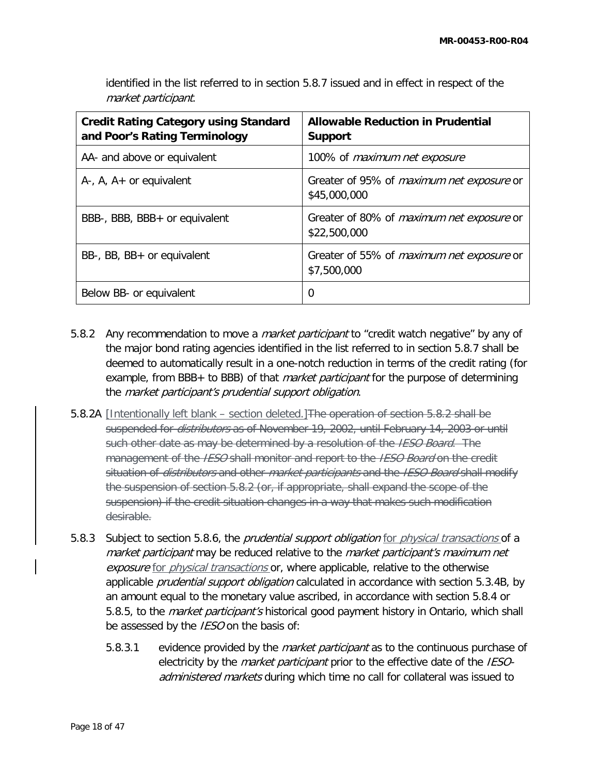| <b>Credit Rating Category using Standard</b><br>and Poor's Rating Terminology | <b>Allowable Reduction in Prudential</b><br><b>Support</b>       |
|-------------------------------------------------------------------------------|------------------------------------------------------------------|
| AA- and above or equivalent                                                   | 100% of <i>maximum net exposure</i>                              |
| $A-$ , $A$ , $A+$ or equivalent                                               | Greater of 95% of <i>maximum net exposure</i> or<br>\$45,000,000 |
| BBB-, BBB, BBB+ or equivalent                                                 | Greater of 80% of <i>maximum net exposure</i> or<br>\$22,500,000 |
| BB-, BB, BB+ or equivalent                                                    | Greater of 55% of <i>maximum net exposure</i> or<br>\$7,500,000  |
| Below BB- or equivalent                                                       | 0                                                                |

identified in the list referred to in section 5.8.7 issued and in effect in respect of the market participant.

- 5.8.2 Any recommendation to move a *market participant* to "credit watch negative" by any of the major bond rating agencies identified in the list referred to in section 5.8.7 shall be deemed to automatically result in a one-notch reduction in terms of the credit rating (for example, from BBB+ to BBB) of that *market participant* for the purpose of determining the market participant's prudential support obligation.
- 5.8.2A [Intentionally left blank section deleted.]The operation of section 5.8.2 shall be suspended for *distributors* as of November 19, 2002, until February 14, 2003 or until such other date as may be determined by a resolution of the *IESO Board*. The management of the *IESO* shall monitor and report to the *IESO Board* on the credit situation of *distributors* and other *market participants* and the *IESO Board* shall modify the suspension of section 5.8.2 (or, if appropriate, shall expand the scope of the suspension) if the credit situation changes in a way that makes such modification desirable.
- 5.8.3 Subject to section 5.8.6, the *prudential support obligation* for *physical transactions* of a market participant may be reduced relative to the market participant's maximum net exposure for *physical transactions* or, where applicable, relative to the otherwise applicable *prudential support obligation* calculated in accordance with section 5.3.4B, by an amount equal to the monetary value ascribed, in accordance with section 5.8.4 or 5.8.5, to the *market participant's* historical good payment history in Ontario, which shall be assessed by the IESO on the basis of:
	- 5.8.3.1 evidence provided by the *market participant* as to the continuous purchase of electricity by the *market participant* prior to the effective date of the IESOadministered markets during which time no call for collateral was issued to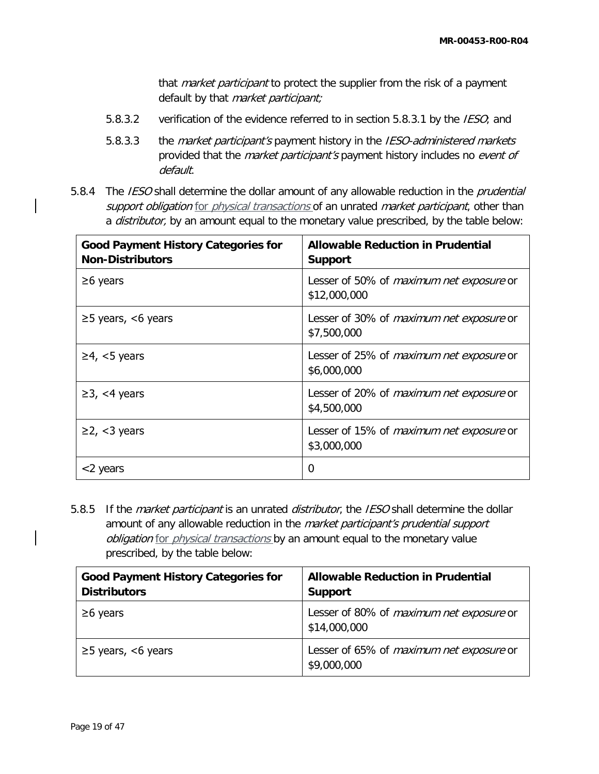that *market participant* to protect the supplier from the risk of a payment default by that *market participant;* 

- 5.8.3.2 verification of the evidence referred to in section 5.8.3.1 by the IESO; and
- 5.8.3.3 the market participant's payment history in the IESO-administered markets provided that the *market participant's* payment history includes no event of default.
- 5.8.4 The *IESO* shall determine the dollar amount of any allowable reduction in the *prudential* support obligation for physical transactions of an unrated market participant, other than a distributor, by an amount equal to the monetary value prescribed, by the table below:

| <b>Good Payment History Categories for</b><br><b>Non-Distributors</b> | <b>Allowable Reduction in Prudential</b><br><b>Support</b>      |
|-----------------------------------------------------------------------|-----------------------------------------------------------------|
| $\geq 6$ years                                                        | Lesser of 50% of <i>maximum net exposure</i> or<br>\$12,000,000 |
| $\geq$ 5 years, <6 years                                              | Lesser of 30% of <i>maximum net exposure</i> or<br>\$7,500,000  |
| $\geq$ 4, <5 years                                                    | Lesser of 25% of <i>maximum net exposure</i> or<br>\$6,000,000  |
| $\geq$ 3, <4 years                                                    | Lesser of 20% of <i>maximum net exposure</i> or<br>\$4,500,000  |
| $\geq$ 2, <3 years                                                    | Lesser of 15% of <i>maximum net exposure</i> or<br>\$3,000,000  |
| <2 years                                                              | 0                                                               |

5.8.5 If the *market participant* is an unrated *distributor*, the *IESO* shall determine the dollar amount of any allowable reduction in the *market participant's prudential support* obligation for *physical transactions* by an amount equal to the monetary value prescribed, by the table below:

| <b>Good Payment History Categories for</b><br><b>Distributors</b> | <b>Allowable Reduction in Prudential</b><br><b>Support</b>      |
|-------------------------------------------------------------------|-----------------------------------------------------------------|
| $\geq 6$ years                                                    | Lesser of 80% of <i>maximum net exposure</i> or<br>\$14,000,000 |
| $\geq$ 5 years, <6 years                                          | Lesser of 65% of <i>maximum net exposure</i> or<br>\$9,000,000  |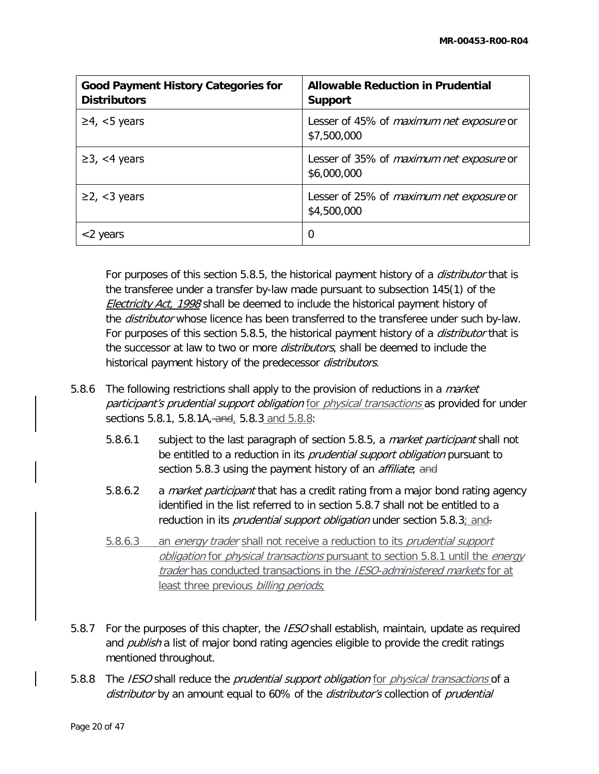| <b>Good Payment History Categories for</b><br><b>Distributors</b> | <b>Allowable Reduction in Prudential</b><br><b>Support</b>     |
|-------------------------------------------------------------------|----------------------------------------------------------------|
| $\geq$ 4, <5 years                                                | Lesser of 45% of <i>maximum net exposure</i> or<br>\$7,500,000 |
| $\geq$ 3, <4 years                                                | Lesser of 35% of <i>maximum net exposure</i> or<br>\$6,000,000 |
| $\geq$ 2, <3 years                                                | Lesser of 25% of <i>maximum net exposure</i> or<br>\$4,500,000 |
| $<$ 2 years                                                       | 0                                                              |

For purposes of this section 5.8.5, the historical payment history of a *distributor* that is the transferee under a transfer by-law made pursuant to subsection 145(1) of the Electricity Act, 1998 shall be deemed to include the historical payment history of the *distributor* whose licence has been transferred to the transferee under such by-law. For purposes of this section 5.8.5, the historical payment history of a *distributor* that is the successor at law to two or more *distributors*, shall be deemed to include the historical payment history of the predecessor *distributors*.

- 5.8.6 The following restrictions shall apply to the provision of reductions in a *market* participant's prudential support obligation for physical transactions as provided for under sections 5.8.1, 5.8.1A, and, 5.8.3 and 5.8.8:
	- 5.8.6.1 subject to the last paragraph of section 5.8.5, a *market participant* shall not be entitled to a reduction in its *prudential support obligation* pursuant to section 5.8.3 using the payment history of an *affiliate*; and
	- 5.8.6.2 a market participant that has a credit rating from a major bond rating agency identified in the list referred to in section 5.8.7 shall not be entitled to a reduction in its *prudential support obligation* under section  $5.8.3<sub>1</sub>$  and-
	- 5.8.6.3 an energy trader shall not receive a reduction to its prudential support obligation for *physical transactions* pursuant to section 5.8.1 until the *energy* trader has conducted transactions in the IESO-administered markets for at least three previous billing periods;
- 5.8.7 For the purposes of this chapter, the IESO shall establish, maintain, update as required and *publish* a list of major bond rating agencies eligible to provide the credit ratings mentioned throughout.
- 5.8.8 The IESO shall reduce the prudential support obligation for physical transactions of a distributor by an amount equal to 60% of the *distributor's* collection of *prudential*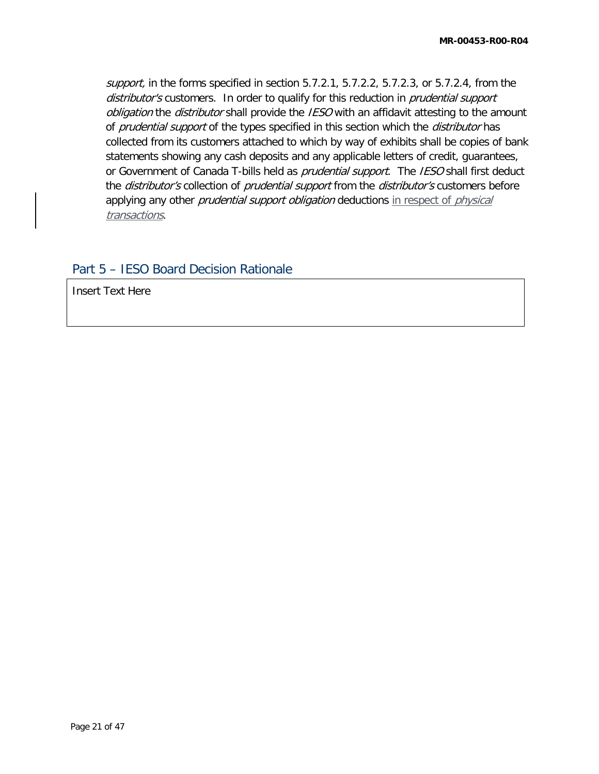support, in the forms specified in section 5.7.2.1, 5.7.2.2, 5.7.2.3, or 5.7.2.4, from the distributor's customers. In order to qualify for this reduction in *prudential support* obligation the distributor shall provide the IESO with an affidavit attesting to the amount of prudential support of the types specified in this section which the distributor has collected from its customers attached to which by way of exhibits shall be copies of bank statements showing any cash deposits and any applicable letters of credit, guarantees, or Government of Canada T-bills held as *prudential support*. The IESO shall first deduct the distributor's collection of prudential support from the distributor's customers before applying any other *prudential support obligation* deductions in respect of *physical* transactions.

## Part 5 – IESO Board Decision Rationale

Insert Text Here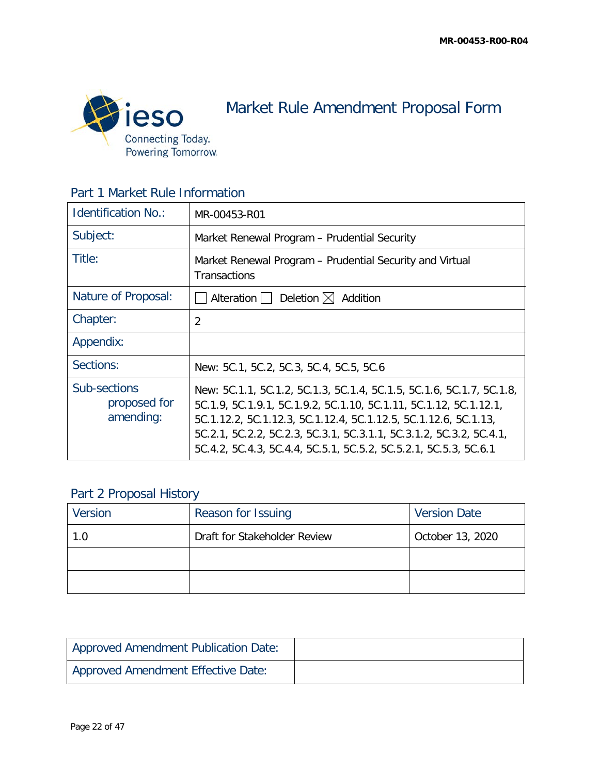

Market Rule Amendment Proposal Form

Part 1 Market Rule Information

| <b>Identification No.:</b>                | MR-00453-R01                                                                                                                                                                                                                                                                                                                                            |
|-------------------------------------------|---------------------------------------------------------------------------------------------------------------------------------------------------------------------------------------------------------------------------------------------------------------------------------------------------------------------------------------------------------|
| Subject:                                  | Market Renewal Program - Prudential Security                                                                                                                                                                                                                                                                                                            |
| Title:                                    | Market Renewal Program - Prudential Security and Virtual<br>Transactions                                                                                                                                                                                                                                                                                |
| Nature of Proposal:                       | Deletion $\boxtimes$<br>Alteration    <br>Addition                                                                                                                                                                                                                                                                                                      |
| Chapter:                                  | $\overline{2}$                                                                                                                                                                                                                                                                                                                                          |
| Appendix:                                 |                                                                                                                                                                                                                                                                                                                                                         |
| Sections:                                 | New: 5C.1, 5C.2, 5C.3, 5C.4, 5C.5, 5C.6                                                                                                                                                                                                                                                                                                                 |
| Sub-sections<br>proposed for<br>amending: | New: 5C.1.1, 5C.1.2, 5C.1.3, 5C.1.4, 5C.1.5, 5C.1.6, 5C.1.7, 5C.1.8,<br>5C.1.9, 5C.1.9.1, 5C.1.9.2, 5C.1.10, 5C.1.11, 5C.1.12, 5C.1.12.1,<br>5C.1.12.2, 5C.1.12.3, 5C.1.12.4, 5C.1.12.5, 5C.1.12.6, 5C.1.13,<br>5C.2.1, 5C.2.2, 5C.2.3, 5C.3.1, 5C.3.1.1, 5C.3.1.2, 5C.3.2, 5C.4.1,<br>5C.4.2, 5C.4.3, 5C.4.4, 5C.5.1, 5C.5.2, 5C.5.2.1, 5C.5.3, 5C.6.1 |

# Part 2 Proposal History

| Version | Reason for Issuing           | <b>Version Date</b> |
|---------|------------------------------|---------------------|
| 1.0     | Draft for Stakeholder Review | October 13, 2020    |
|         |                              |                     |
|         |                              |                     |

| <b>Approved Amendment Publication Date:</b> |  |
|---------------------------------------------|--|
| <b>Approved Amendment Effective Date:</b>   |  |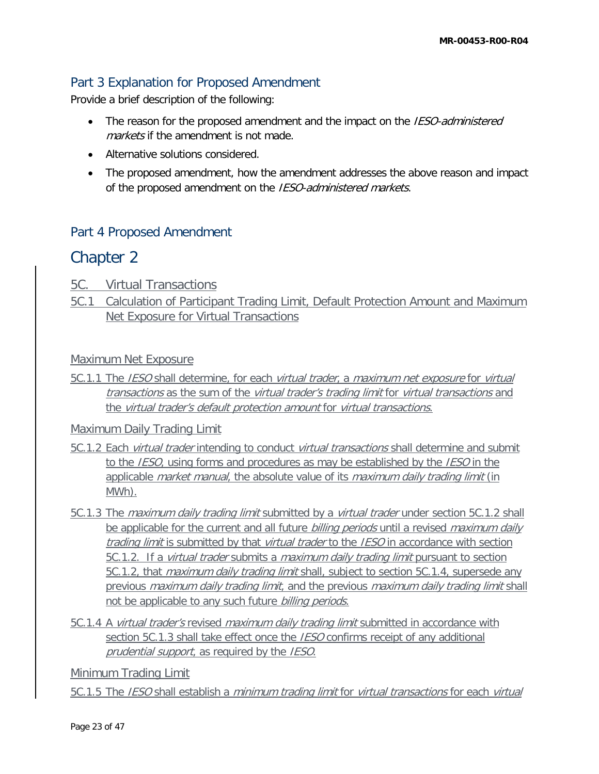# Part 3 Explanation for Proposed Amendment

Provide a brief description of the following:

- The reason for the proposed amendment and the impact on the *IESO-administered* markets if the amendment is not made.
- Alternative solutions considered.
- The proposed amendment, how the amendment addresses the above reason and impact of the proposed amendment on the IESO-administered markets.

## Part 4 Proposed Amendment

# Chapter 2

- 5C. Virtual Transactions
- 5C.1 Calculation of Participant Trading Limit, Default Protection Amount and Maximum Net Exposure for Virtual Transactions

### Maximum Net Exposure

5C.1.1 The IESO shall determine, for each virtual trader, a maximum net exposure for virtual transactions as the sum of the *virtual trader's trading limit* for *virtual transactions* and the virtual trader's default protection amount for virtual transactions.

#### Maximum Daily Trading Limit

- 5C.1.2 Each *virtual trader* intending to conduct *virtual transactions* shall determine and submit to the IESO, using forms and procedures as may be established by the IESO in the applicable market manual, the absolute value of its maximum daily trading limit (in MWh).
- 5C.1.3 The *maximum daily trading limit* submitted by a *virtual trader* under section 5C.1.2 shall be applicable for the current and all future *billing periods* until a revised *maximum daily* trading limit is submitted by that virtual trader to the IESO in accordance with section 5C.1.2. If a *virtual trader* submits a *maximum daily trading limit* pursuant to section 5C.1.2, that *maximum daily trading limit* shall, subject to section 5C.1.4, supersede any previous maximum daily trading limit, and the previous maximum daily trading limit shall not be applicable to any such future billing periods.
- 5C.1.4 A virtual trader's revised maximum daily trading limit submitted in accordance with section 5C.1.3 shall take effect once the *IESO* confirms receipt of any additional prudential support, as required by the IESO.

Minimum Trading Limit

5C.1.5 The IESO shall establish a minimum trading limit for virtual transactions for each virtual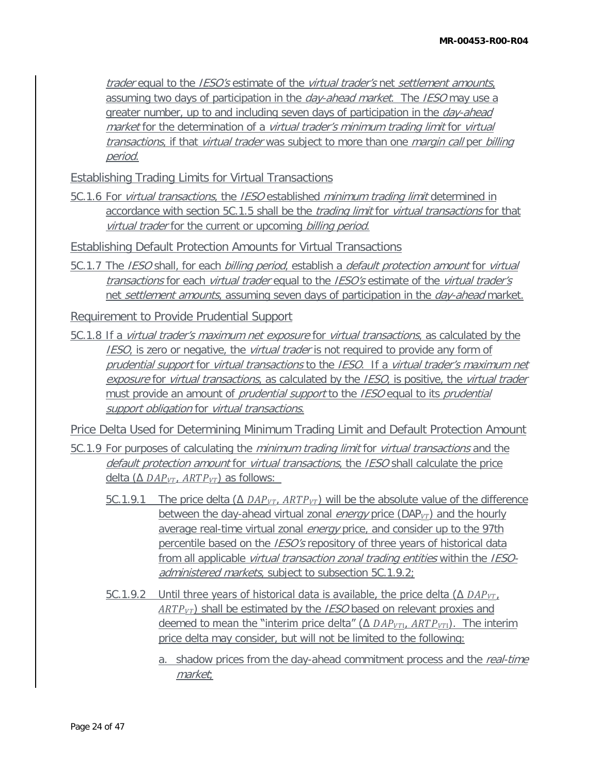trader equal to the *IESO's* estimate of the *virtual trader's* net *settlement amounts*, assuming two days of participation in the day-ahead market. The IESO may use a greater number, up to and including seven days of participation in the day-ahead market for the determination of a *virtual trader's minimum trading limit* for *virtual* transactions, if that virtual trader was subject to more than one *margin call* per billing period.

Establishing Trading Limits for Virtual Transactions

5C.1.6 For *virtual transactions*, the *IESO* established *minimum trading limit* determined in accordance with section 5C.1.5 shall be the *trading limit* for *virtual transactions* for that virtual trader for the current or upcoming billing period.

Establishing Default Protection Amounts for Virtual Transactions

5C.1.7 The IESO shall, for each billing period, establish a default protection amount for virtual transactions for each virtual trader equal to the IESO's estimate of the virtual trader's net settlement amounts, assuming seven days of participation in the day-ahead market.

Requirement to Provide Prudential Support

5C.1.8 If a *virtual trader's maximum net exposure* for *virtual transactions*, as calculated by the IESO, is zero or negative, the *virtual trader* is not required to provide any form of prudential support for virtual transactions to the IESO. If a virtual trader's maximum net exposure for virtual transactions, as calculated by the IESO, is positive, the virtual trader must provide an amount of *prudential support* to the *IESO* equal to its *prudential* support obligation for virtual transactions.

Price Delta Used for Determining Minimum Trading Limit and Default Protection Amount

- 5C.1.9 For purposes of calculating the *minimum trading limit* for *virtual transactions* and the default protection amount for virtual transactions, the IESO shall calculate the price delta (Δ  $DAP_{VT}$ ,  $ARTP_{VT}$ ) as follows:
	- 5C.1.9.1 The price delta  $(\Delta DAP_{VT} ARTP_{VT})$  will be the absolute value of the difference between the day-ahead virtual zonal *energy* price ( $DAP_{VT}$ ) and the hourly average real-time virtual zonal *energy* price, and consider up to the 97th percentile based on the *IESO's* repository of three years of historical data from all applicable *virtual transaction zonal trading entities* within the *IESO*administered markets, subject to subsection 5C.1.9.2;
	- 5C.1.9.2 Until three years of historical data is available, the price delta (Δ  $DAP_{VT}$ ,  $ARTP_{VT}$ ) shall be estimated by the *IESO* based on relevant proxies and deemed to mean the "interim price delta" ( $\triangle DAP_{VTI}$ ,  $ARTP_{VTI}$ ). The interim price delta may consider, but will not be limited to the following:
		- a. shadow prices from the day-ahead commitment process and the real-time market;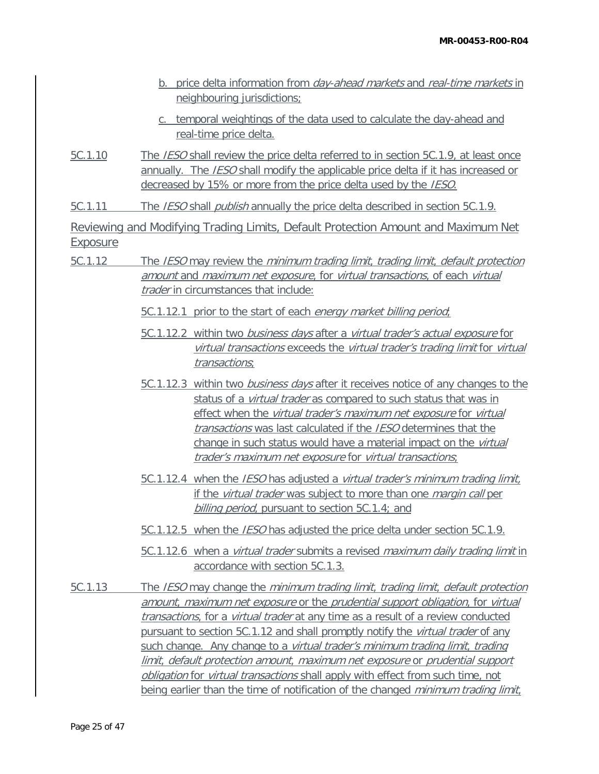- b. price delta information from *day-ahead markets* and *real-time markets* in neighbouring jurisdictions;
- c. temporal weightings of the data used to calculate the day-ahead and real-time price delta.
- 5C.1.10 The *IESO* shall review the price delta referred to in section 5C.1.9, at least once annually. The *IESO* shall modify the applicable price delta if it has increased or decreased by 15% or more from the price delta used by the *IESO*.

5C.1.11 The *IESO* shall *publish* annually the price delta described in section 5C.1.9.

Reviewing and Modifying Trading Limits, Default Protection Amount and Maximum Net Exposure

5C.1.12 The IESO may review the minimum trading limit, trading limit, default protection amount and maximum net exposure, for virtual transactions, of each virtual trader in circumstances that include:

5C.1.12.1 prior to the start of each energy market billing period;

- 5C.1.12.2 within two business days after a virtual trader's actual exposure for virtual transactions exceeds the virtual trader's trading limit for virtual transactions;
- 5C.1.12.3 within two *business days* after it receives notice of any changes to the status of a *virtual trader* as compared to such status that was in effect when the *virtual trader's maximum net exposure* for *virtual* transactions was last calculated if the IESO determines that the change in such status would have a material impact on the *virtual* trader's maximum net exposure for virtual transactions;
- 5C.1.12.4 when the *IESO* has adjusted a *virtual trader's minimum trading limit*, if the virtual trader was subject to more than one margin call per billing period, pursuant to section 5C.1.4; and
- 5C.1.12.5 when the *IESO* has adjusted the price delta under section 5C.1.9.
- 5C.1.12.6 when a *virtual trader* submits a revised *maximum daily trading limit* in accordance with section 5C.1.3.
- 5C.1.13 The *IESO* may change the *minimum trading limit, trading limit, default protection* amount, maximum net exposure or the prudential support obligation, for virtual transactions, for a virtual trader at any time as a result of a review conducted pursuant to section 5C.1.12 and shall promptly notify the *virtual trader* of any such change. Any change to a *virtual trader's minimum trading limit, trading* limit, default protection amount, maximum net exposure or prudential support obligation for virtual transactions shall apply with effect from such time, not being earlier than the time of notification of the changed *minimum trading limit*,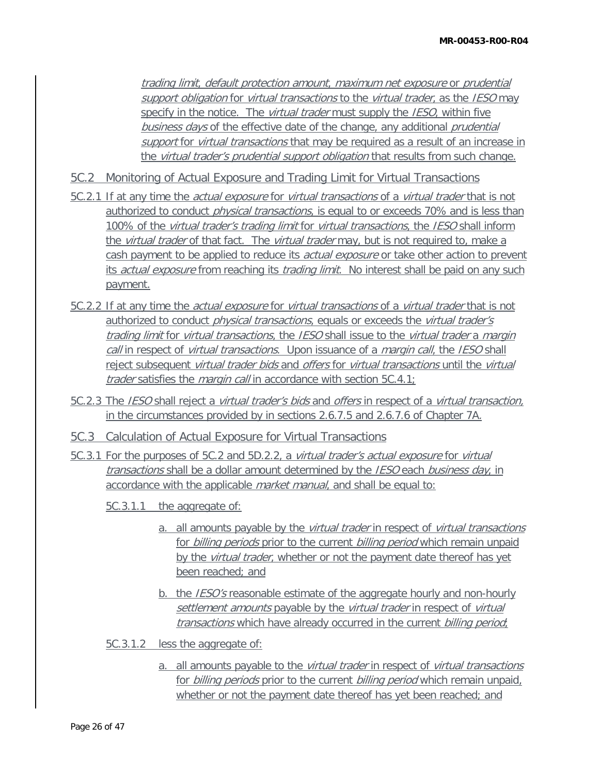trading limit, default protection amount, maximum net exposure or prudential support obligation for virtual transactions to the virtual trader, as the IESO may specify in the notice. The *virtual trader* must supply the *IESO*, within five business days of the effective date of the change, any additional prudential support for *virtual transactions* that may be required as a result of an increase in the *virtual trader's prudential support obligation* that results from such change.

5C.2 Monitoring of Actual Exposure and Trading Limit for Virtual Transactions

- 5C.2.1 If at any time the *actual exposure* for *virtual transactions* of a *virtual trader* that is not authorized to conduct *physical transactions*, is equal to or exceeds 70% and is less than 100% of the virtual trader's trading limit for virtual transactions, the IESO shall inform the *virtual trader* of that fact. The *virtual trader* may, but is not required to, make a cash payment to be applied to reduce its *actual exposure* or take other action to prevent its *actual exposure* from reaching its *trading limit*. No interest shall be paid on any such payment.
- 5C.2.2 If at any time the *actual exposure* for *virtual transactions* of a *virtual trader* that is not authorized to conduct *physical transactions*, equals or exceeds the *virtual trader's* trading limit for virtual transactions, the IESO shall issue to the virtual trader a margin call in respect of virtual transactions. Upon issuance of a margin call, the IESO shall reject subsequent *virtual trader bids* and *offers* for *virtual transactions* until the *virtual* trader satisfies the *margin call* in accordance with section 5C.4.1;
- 5C.2.3 The IESO shall reject a virtual trader's bids and offers in respect of a virtual transaction, in the circumstances provided by in sections 2.6.7.5 and 2.6.7.6 of Chapter 7A.
- 5C.3 Calculation of Actual Exposure for Virtual Transactions
- 5C.3.1 For the purposes of 5C.2 and 5D.2.2, a virtual trader's actual exposure for virtual transactions shall be a dollar amount determined by the IESO each business day, in accordance with the applicable *market manual*, and shall be equal to:
	- 5C.3.1.1 the aggregate of:
		- a. all amounts payable by the *virtual trader* in respect of *virtual transactions* for billing periods prior to the current billing period which remain unpaid by the *virtual trader*, whether or not the payment date thereof has yet been reached; and
		- b. the *IESO's* reasonable estimate of the aggregate hourly and non-hourly settlement amounts payable by the virtual trader in respect of virtual transactions which have already occurred in the current billing period;
	- 5C.3.1.2 less the aggregate of:
		- a. all amounts payable to the *virtual trader* in respect of *virtual transactions* for *billing periods* prior to the current *billing period* which remain unpaid, whether or not the payment date thereof has yet been reached; and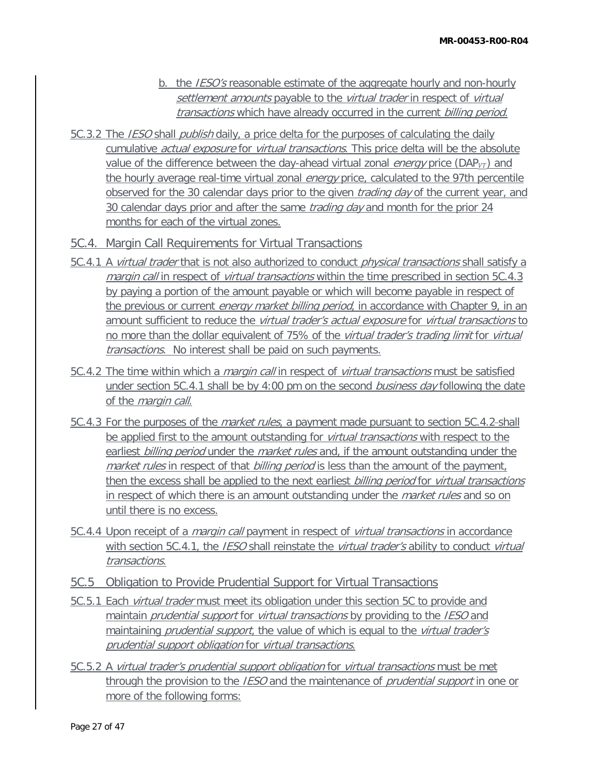- b. the *IESO's* reasonable estimate of the aggregate hourly and non-hourly settlement amounts payable to the virtual trader in respect of virtual transactions which have already occurred in the current billing period.
- 5C.3.2 The *IESO* shall *publish* daily, a price delta for the purposes of calculating the daily cumulative *actual exposure* for *virtual transactions*. This price delta will be the absolute value of the difference between the day-ahead virtual zonal *energy* price ( $DAP_{VT}$ ) and the hourly average real-time virtual zonal *energy* price, calculated to the 97th percentile observed for the 30 calendar days prior to the given *trading day* of the current year, and 30 calendar days prior and after the same *trading day* and month for the prior 24 months for each of the virtual zones.
- 5C.4. Margin Call Requirements for Virtual Transactions
- 5C.4.1 A *virtual trader* that is not also authorized to conduct *physical transactions* shall satisfy a margin call in respect of *virtual transactions* within the time prescribed in section 5C.4.3 by paying a portion of the amount payable or which will become payable in respect of the previous or current *energy market billing period*, in accordance with Chapter 9, in an amount sufficient to reduce the *virtual trader's actual exposure* for *virtual transactions* to no more than the dollar equivalent of 75% of the *virtual trader's trading limit* for *virtual* transactions. No interest shall be paid on such payments.
- 5C.4.2 The time within which a *margin call* in respect of *virtual transactions* must be satisfied under section 5C.4.1 shall be by 4:00 pm on the second *business day* following the date of the margin call.
- 5C.4.3 For the purposes of the *market rules*, a payment made pursuant to section 5C.4.2-shall be applied first to the amount outstanding for *virtual transactions* with respect to the earliest billing period under the market rules and, if the amount outstanding under the market rules in respect of that *billing period* is less than the amount of the payment, then the excess shall be applied to the next earliest *billing period* for *virtual transactions* in respect of which there is an amount outstanding under the *market rules* and so on until there is no excess.
- 5C.4.4 Upon receipt of a *margin call* payment in respect of *virtual transactions* in accordance with section 5C.4.1, the *IESO* shall reinstate the *virtual trader's* ability to conduct *virtual* transactions.
- 5C.5 Obligation to Provide Prudential Support for Virtual Transactions
- 5C.5.1 Each virtual trader must meet its obligation under this section 5C to provide and maintain *prudential support* for *virtual transactions* by providing to the *IESO* and maintaining *prudential support*, the value of which is equal to the *virtual trader's* prudential support obligation for virtual transactions.
- 5C.5.2 A virtual trader's prudential support obligation for virtual transactions must be met through the provision to the IESO and the maintenance of prudential support in one or more of the following forms: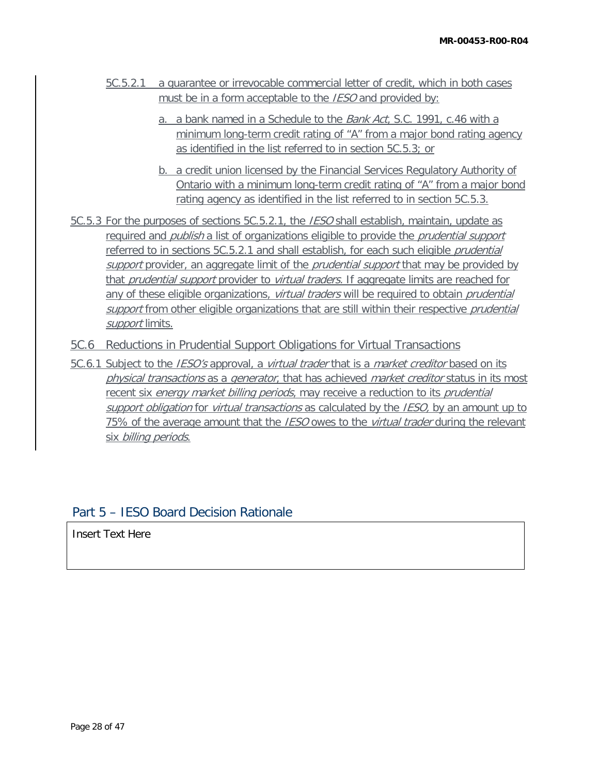- 5C.5.2.1 a guarantee or irrevocable commercial letter of credit, which in both cases must be in a form acceptable to the *IESO* and provided by:
	- a. a bank named in a Schedule to the Bank Act, S.C. 1991, c.46 with a minimum long-term credit rating of "A" from a major bond rating agency as identified in the list referred to in section 5C.5.3; or
	- b. a credit union licensed by the Financial Services Regulatory Authority of Ontario with a minimum long-term credit rating of "A" from a major bond rating agency as identified in the list referred to in section 5C.5.3.

5C.5.3 For the purposes of sections 5C.5.2.1, the *IESO* shall establish, maintain, update as required and *publish* a list of organizations eligible to provide the *prudential support* referred to in sections 5C.5.2.1 and shall establish, for each such eligible *prudential* support provider, an aggregate limit of the *prudential support* that may be provided by that *prudential support* provider to *virtual traders*. If aggregate limits are reached for any of these eligible organizations, *virtual traders* will be required to obtain *prudential* support from other eligible organizations that are still within their respective prudential support limits.

5C.6 Reductions in Prudential Support Obligations for Virtual Transactions

5C.6.1 Subject to the *IESO's* approval, a *virtual trader* that is a *market creditor* based on its physical transactions as a generator, that has achieved market creditor status in its most recent six *energy market billing periods*, may receive a reduction to its *prudential* support obligation for virtual transactions as calculated by the IESO, by an amount up to 75% of the average amount that the *IESO* owes to the *virtual trader* during the relevant six billing periods.

# Part 5 – IESO Board Decision Rationale

Insert Text Here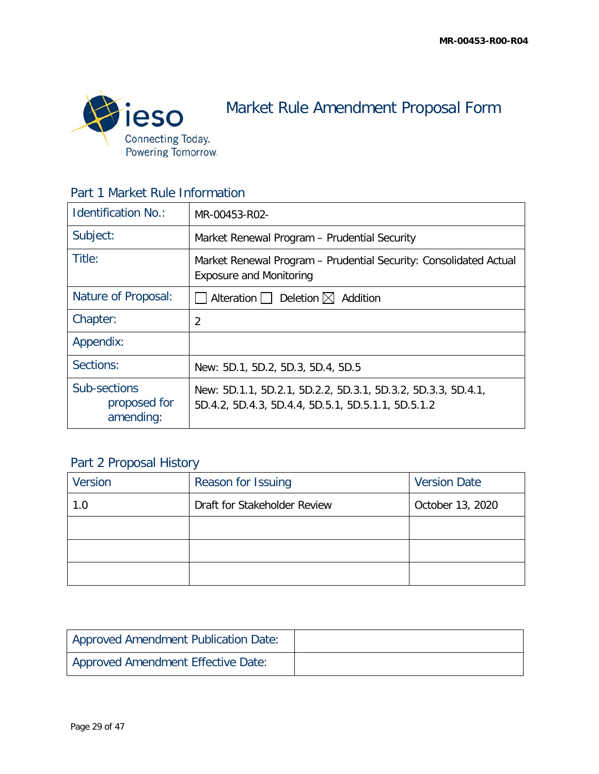

Market Rule Amendment Proposal Form

Part 1 Market Rule Information

| <b>Identification No.:</b>                | MR-00453-R02-                                                                                                      |
|-------------------------------------------|--------------------------------------------------------------------------------------------------------------------|
| Subject:                                  | Market Renewal Program - Prudential Security                                                                       |
| Title:                                    | Market Renewal Program - Prudential Security: Consolidated Actual<br><b>Exposure and Monitoring</b>                |
| Nature of Proposal:                       | Alteration Deletion $\boxtimes$ Addition                                                                           |
| Chapter:                                  | 2                                                                                                                  |
| Appendix:                                 |                                                                                                                    |
| Sections:                                 | New: 5D.1, 5D.2, 5D.3, 5D.4, 5D.5                                                                                  |
| Sub-sections<br>proposed for<br>amending: | New: 5D.1.1, 5D.2.1, 5D.2.2, 5D.3.1, 5D.3.2, 5D.3.3, 5D.4.1,<br>5D.4.2, 5D.4.3, 5D.4.4, 5D.5.1, 5D.5.1.1, 5D.5.1.2 |

# Part 2 Proposal History

| Version | Reason for Issuing           | <b>Version Date</b> |
|---------|------------------------------|---------------------|
| 1.0     | Draft for Stakeholder Review | October 13, 2020    |
|         |                              |                     |
|         |                              |                     |
|         |                              |                     |

| Approved Amendment Publication Date: |  |
|--------------------------------------|--|
| Approved Amendment Effective Date:   |  |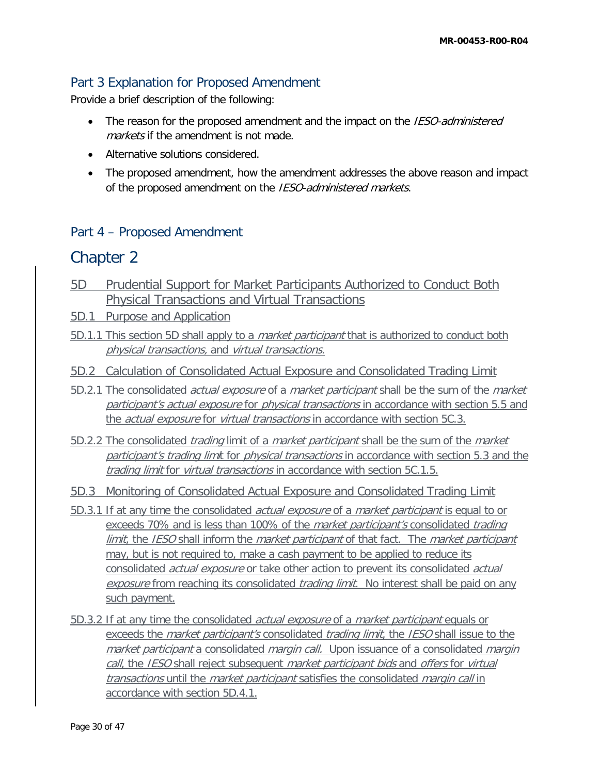# Part 3 Explanation for Proposed Amendment

Provide a brief description of the following:

- The reason for the proposed amendment and the impact on the *IESO-administered* markets if the amendment is not made.
- Alternative solutions considered.
- The proposed amendment, how the amendment addresses the above reason and impact of the proposed amendment on the IESO-administered markets.

# Part 4 – Proposed Amendment

# Chapter 2

- 5D Prudential Support for Market Participants Authorized to Conduct Both Physical Transactions and Virtual Transactions
- 5D.1 Purpose and Application
- 5D.1.1 This section 5D shall apply to a *market participant* that is authorized to conduct both physical transactions, and virtual transactions.
- 5D.2 Calculation of Consolidated Actual Exposure and Consolidated Trading Limit
- 5D.2.1 The consolidated *actual exposure* of a *market participant* shall be the sum of the *market* participant's actual exposure for physical transactions in accordance with section 5.5 and the *actual exposure* for *virtual transactions* in accordance with section 5C.3.
- 5D.2.2 The consolidated *trading* limit of a *market participant* shall be the sum of the *market* participant's trading limit for *physical transactions* in accordance with section 5.3 and the trading limit for virtual transactions in accordance with section 5C.1.5.
- 5D.3 Monitoring of Consolidated Actual Exposure and Consolidated Trading Limit
- 5D.3.1 If at any time the consolidated actual exposure of a market participant is equal to or exceeds 70% and is less than 100% of the *market participant's* consolidated *trading* limit, the IESO shall inform the *market participant* of that fact. The *market participant* may, but is not required to, make a cash payment to be applied to reduce its consolidated *actual exposure* or take other action to prevent its consolidated *actual* exposure from reaching its consolidated *trading limit*. No interest shall be paid on any such payment.
- 5D.3.2 If at any time the consolidated *actual exposure* of a *market participant* equals or exceeds the *market participant's* consolidated *trading limit*, the IESO shall issue to the market participant a consolidated margin call. Upon issuance of a consolidated margin call, the IESO shall reject subsequent *market participant bids* and *offers* for *virtual* transactions until the *market participant* satisfies the consolidated *margin call* in accordance with section 5D.4.1.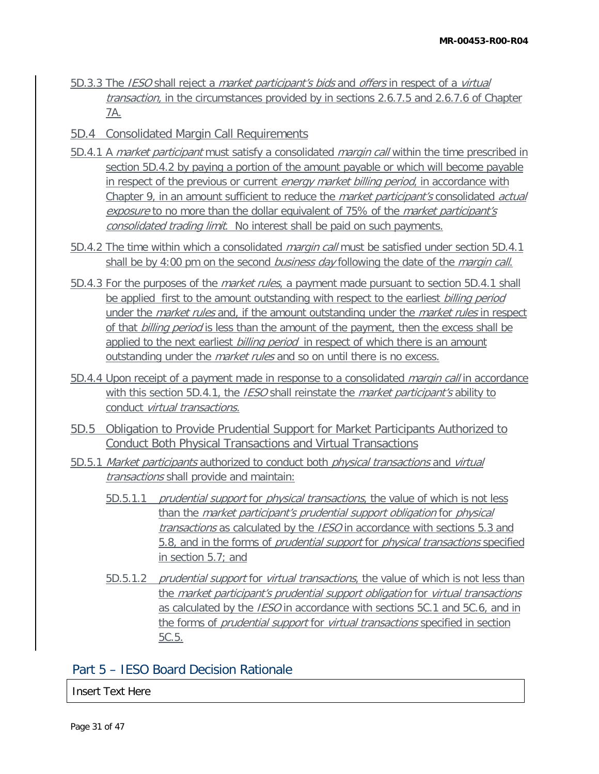- 5D.3.3 The *IESO* shall reject a *market participant's bids* and *offers* in respect of a *virtual* transaction, in the circumstances provided by in sections 2.6.7.5 and 2.6.7.6 of Chapter 7A.
- 5D.4 Consolidated Margin Call Requirements
- 5D.4.1 A *market participant* must satisfy a consolidated *margin call* within the time prescribed in section 5D.4.2 by paying a portion of the amount payable or which will become payable in respect of the previous or current *energy market billing period*, in accordance with Chapter 9, in an amount sufficient to reduce the *market participant's* consolidated *actual* exposure to no more than the dollar equivalent of 75% of the *market participant's* consolidated trading limit. No interest shall be paid on such payments.
- 5D.4.2 The time within which a consolidated *margin call* must be satisfied under section 5D.4.1 shall be by 4:00 pm on the second *business day* following the date of the *margin call.*
- 5D.4.3 For the purposes of the *market rules*, a payment made pursuant to section 5D.4.1 shall be applied first to the amount outstanding with respect to the earliest *billing period* under the *market rules* and, if the amount outstanding under the *market rules* in respect of that billing period is less than the amount of the payment, then the excess shall be applied to the next earliest *billing period* in respect of which there is an amount outstanding under the *market rules* and so on until there is no excess.
- 5D.4.4 Upon receipt of a payment made in response to a consolidated *margin call* in accordance with this section 5D.4.1, the *IESO* shall reinstate the *market participant's* ability to conduct virtual transactions.
- 5D.5 Obligation to Provide Prudential Support for Market Participants Authorized to Conduct Both Physical Transactions and Virtual Transactions
- 5D.5.1 Market participants authorized to conduct both physical transactions and virtual transactions shall provide and maintain:
	- 5D.5.1.1 *prudential support* for *physical transactions*, the value of which is not less than the market participant's prudential support obligation for physical transactions as calculated by the IESO in accordance with sections 5.3 and 5.8, and in the forms of prudential support for physical transactions specified in section 5.7; and
	- 5D.5.1.2 *prudential support* for *virtual transactions*, the value of which is not less than the market participant's prudential support obligation for virtual transactions as calculated by the *IESO* in accordance with sections 5C.1 and 5C.6, and in the forms of *prudential support* for *virtual transactions* specified in section 5C.5.

# Part 5 – IESO Board Decision Rationale

#### Insert Text Here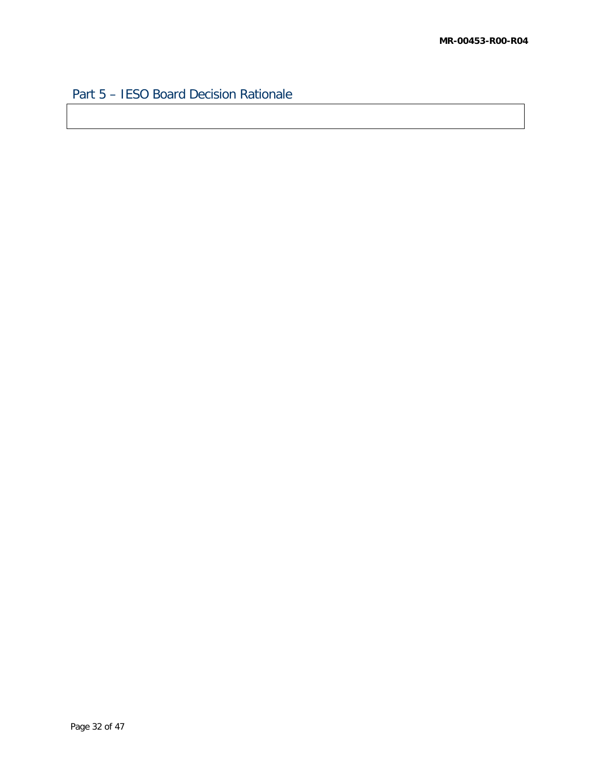Part 5 – IESO Board Decision Rationale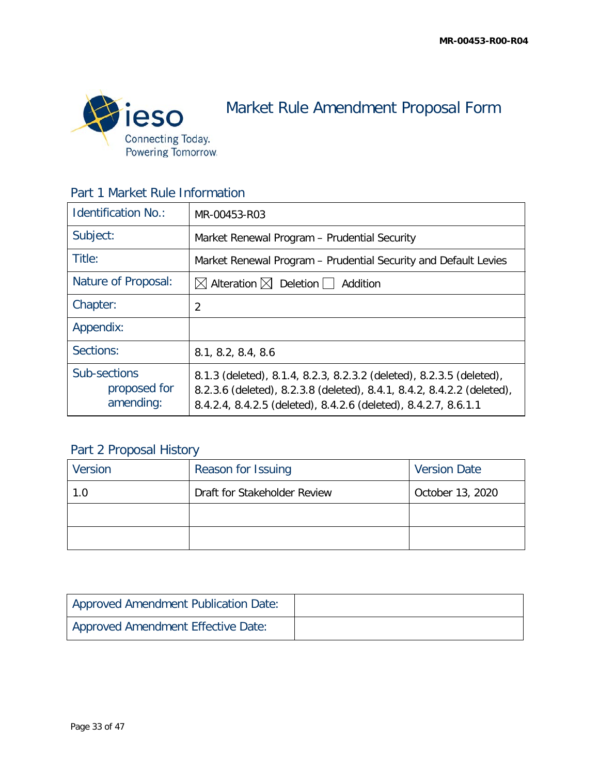

Market Rule Amendment Proposal Form

Part 1 Market Rule Information

| <b>Identification No.:</b>                | MR-00453-R03                                                                                                                                                                                                      |
|-------------------------------------------|-------------------------------------------------------------------------------------------------------------------------------------------------------------------------------------------------------------------|
| Subject:                                  | Market Renewal Program - Prudential Security                                                                                                                                                                      |
| Title:                                    | Market Renewal Program - Prudential Security and Default Levies                                                                                                                                                   |
| Nature of Proposal:                       | $\boxtimes$ Alteration $\boxtimes$ Deletion<br>Addition                                                                                                                                                           |
| Chapter:                                  | 2                                                                                                                                                                                                                 |
| Appendix:                                 |                                                                                                                                                                                                                   |
| Sections:                                 | 8.1, 8.2, 8.4, 8.6                                                                                                                                                                                                |
| Sub-sections<br>proposed for<br>amending: | 8.1.3 (deleted), 8.1.4, 8.2.3, 8.2.3.2 (deleted), 8.2.3.5 (deleted),<br>8.2.3.6 (deleted), 8.2.3.8 (deleted), 8.4.1, 8.4.2, 8.4.2.2 (deleted),<br>8.4.2.4, 8.4.2.5 (deleted), 8.4.2.6 (deleted), 8.4.2.7, 8.6.1.1 |

# Part 2 Proposal History

| Version | Reason for Issuing           | <b>Version Date</b> |
|---------|------------------------------|---------------------|
| 1.0     | Draft for Stakeholder Review | October 13, 2020    |
|         |                              |                     |
|         |                              |                     |

| <b>Approved Amendment Publication Date:</b> |  |
|---------------------------------------------|--|
| Approved Amendment Effective Date:          |  |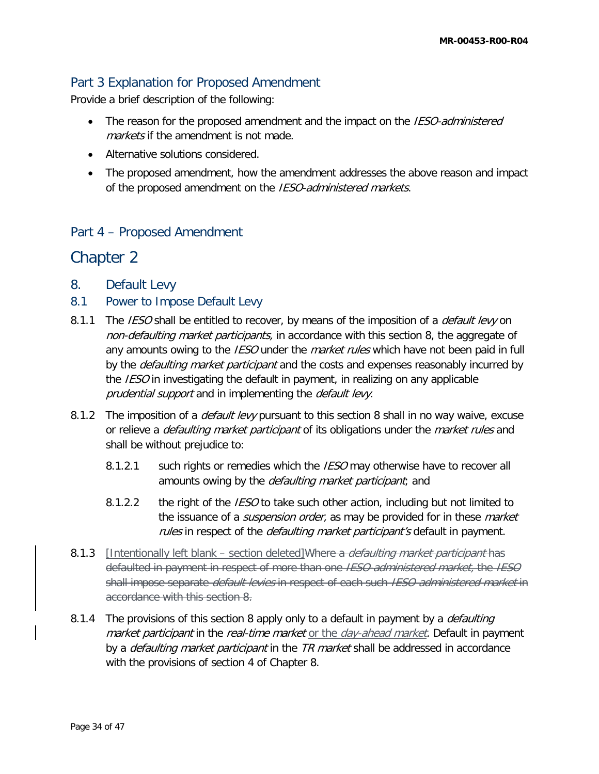# Part 3 Explanation for Proposed Amendment

Provide a brief description of the following:

- The reason for the proposed amendment and the impact on the *IESO-administered* markets if the amendment is not made.
- Alternative solutions considered.
- The proposed amendment, how the amendment addresses the above reason and impact of the proposed amendment on the IESO-administered markets.

## Part 4 – Proposed Amendment

# Chapter 2

- 8. Default Levy
- 8.1 Power to Impose Default Levy
- 8.1.1 The *IESO* shall be entitled to recover, by means of the imposition of a *default levy* on non-defaulting market participants, in accordance with this section 8, the aggregate of any amounts owing to the *IESO* under the *market rules* which have not been paid in full by the *defaulting market participant* and the costs and expenses reasonably incurred by the *IESO* in investigating the default in payment, in realizing on any applicable prudential support and in implementing the default levy.
- 8.1.2 The imposition of a *default levy* pursuant to this section 8 shall in no way waive, excuse or relieve a *defaulting market participant* of its obligations under the *market rules* and shall be without prejudice to:
	- 8.1.2.1 such rights or remedies which the *IESO* may otherwise have to recover all amounts owing by the *defaulting market participant*; and
	- 8.1.2.2 the right of the *IESO* to take such other action, including but not limited to the issuance of a *suspension order*, as may be provided for in these *market* rules in respect of the *defaulting market participant's* default in payment.
- 8.1.3 [Intentionally left blank section deleted]Where a *defaulting market participant* has defaulted in payment in respect of more than one IESO-administered market, the IESO shall impose separate *default levies* in respect of each such IESO-administered market in accordance with this section 8.
- 8.1.4 The provisions of this section 8 apply only to a default in payment by a *defaulting* market participant in the real-time market or the day-ahead market. Default in payment by a *defaulting market participant* in the TR market shall be addressed in accordance with the provisions of section 4 of Chapter 8.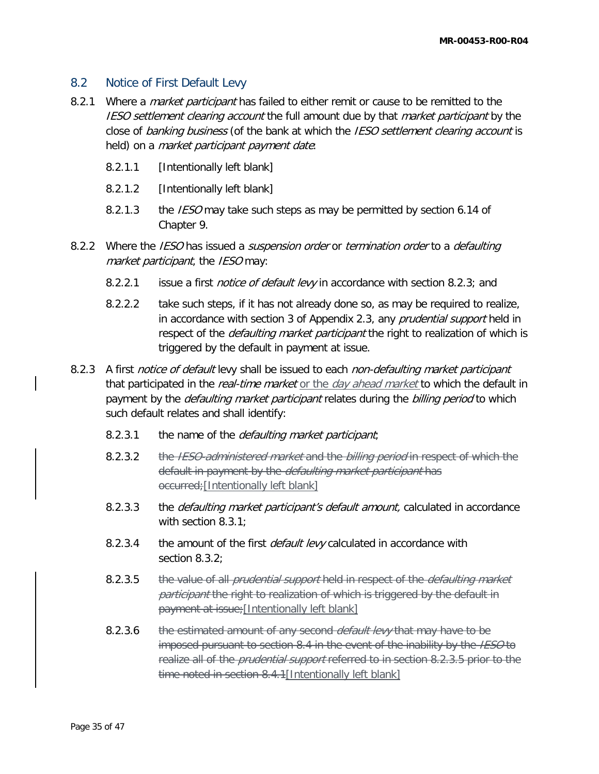### 8.2 Notice of First Default Levy

- 8.2.1 Where a *market participant* has failed to either remit or cause to be remitted to the **IESO** settlement clearing account the full amount due by that *market participant* by the close of *banking business* (of the bank at which the *IESO settlement clearing account* is held) on a *market participant payment date*:
	- 8.2.1.1 [Intentionally left blank]
	- 8.2.1.2 [Intentionally left blank]
	- 8.2.1.3 the *IESO* may take such steps as may be permitted by section 6.14 of Chapter 9.
- 8.2.2 Where the IESO has issued a *suspension order* or *termination order* to a *defaulting* market participant, the IESO may:
	- 8.2.2.1 issue a first *notice of default levy* in accordance with section 8.2.3; and
	- 8.2.2.2 take such steps, if it has not already done so, as may be required to realize, in accordance with section 3 of Appendix 2.3, any *prudential support* held in respect of the *defaulting market participant* the right to realization of which is triggered by the default in payment at issue.
- 8.2.3 A first *notice of default* levy shall be issued to each *non-defaulting market participant* that participated in the *real-time market* or the *day ahead market* to which the default in payment by the *defaulting market participant* relates during the *billing period* to which such default relates and shall identify:
	- 8.2.3.1 the name of the *defaulting market participant*;
	- 8.2.3.2 the *IESO-administered market* and the *billing period* in respect of which the default in payment by the *defaulting market participant* has occurred; [Intentionally left blank]
	- 8.2.3.3 the *defaulting market participant's default amount*, calculated in accordance with section 8.3.1;
	- 8.2.3.4 the amount of the first *default levy* calculated in accordance with section 8.3.2;
	- 8.2.3.5 the value of all *prudential support* held in respect of the *defaulting market* participant the right to realization of which is triggered by the default in payment at issue; [Intentionally left blank]
	- 8.2.3.6 the estimated amount of any second *default levy* that may have to be imposed pursuant to section 8.4 in the event of the inability by the IESO to realize all of the *prudential support* referred to in section 8.2.3.5 prior to the time noted in section 8.4.1 [Intentionally left blank]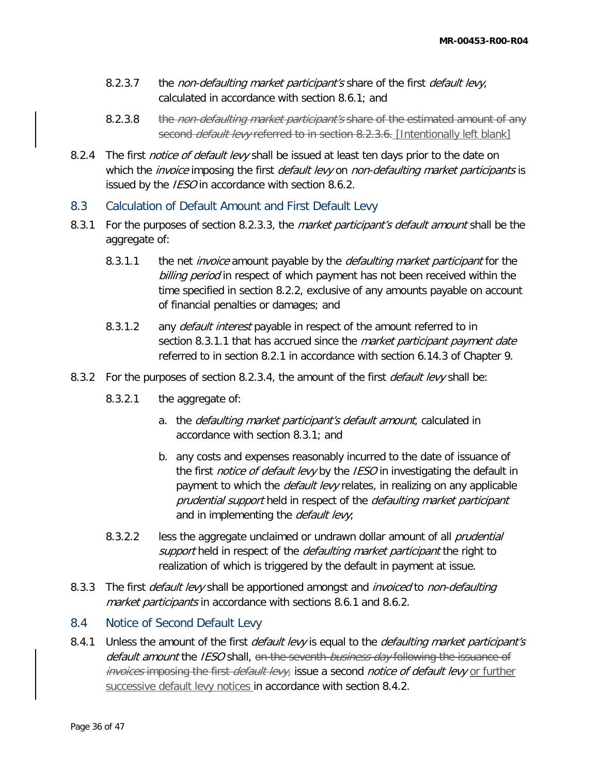- 8.2.3.7 the *non-defaulting market participant's* share of the first *default levy*, calculated in accordance with section 8.6.1; and
- 8.2.3.8 the non-defaulting market participant's share of the estimated amount of any second *default levy* referred to in section 8.2.3.6. [Intentionally left blank]
- 8.2.4 The first *notice of default levy* shall be issued at least ten days prior to the date on which the *invoice* imposing the first *default levy* on *non-defaulting market participants* is issued by the *IESO* in accordance with section 8.6.2.
- 8.3 Calculation of Default Amount and First Default Levy
- 8.3.1 For the purposes of section 8.2.3.3, the *market participant's default amount* shall be the aggregate of:
	- 8.3.1.1 the net *invoice* amount payable by the *defaulting market participant* for the billing period in respect of which payment has not been received within the time specified in section 8.2.2, exclusive of any amounts payable on account of financial penalties or damages; and
	- 8.3.1.2 any *default interest* payable in respect of the amount referred to in section 8.3.1.1 that has accrued since the *market participant payment date* referred to in section 8.2.1 in accordance with section 6.14.3 of Chapter 9.
- 8.3.2 For the purposes of section 8.2.3.4, the amount of the first *default levy* shall be:
	- 8.3.2.1 the aggregate of:
		- a. the *defaulting market participant's default amount*, calculated in accordance with section 8.3.1; and
		- b. any costs and expenses reasonably incurred to the date of issuance of the first *notice of default levy* by the *IESO* in investigating the default in payment to which the *default levy* relates, in realizing on any applicable prudential support held in respect of the defaulting market participant and in implementing the *default levy*;
	- 8.3.2.2 less the aggregate unclaimed or undrawn dollar amount of all *prudential* support held in respect of the *defaulting market participant* the right to realization of which is triggered by the default in payment at issue.
- 8.3.3 The first *default levy* shall be apportioned amongst and *invoiced* to *non-defaulting* market participants in accordance with sections 8.6.1 and 8.6.2.

### 8.4 Notice of Second Default Levy

8.4.1 Unless the amount of the first *default levy* is equal to the *defaulting market participant's* default amount the IESO shall, on the seventh business day following the issuance of invoices imposing the first default levy, issue a second notice of default levy or further successive default levy notices in accordance with section 8.4.2.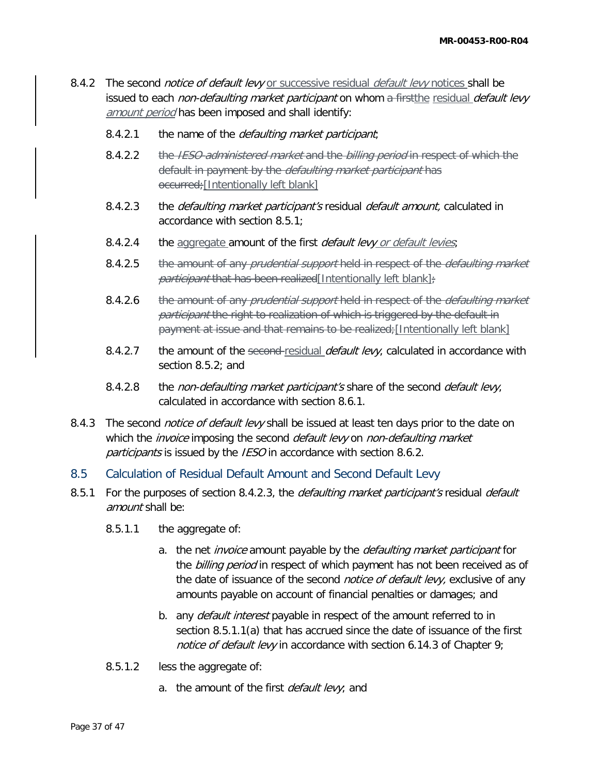- 8.4.2 The second *notice of default levy* or successive residual *default levy* notices shall be issued to each *non-defaulting market participant* on whom a first the residual *default levy* amount period has been imposed and shall identify:
	- 8.4.2.1 the name of the *defaulting market participant*;
	- 8.4.2.2 the IESO-administered market and the billing period in respect of which the default in payment by the *defaulting market participant* has occurred; [Intentionally left blank]
	- 8.4.2.3 the *defaulting market participant's* residual *default amount*, calculated in accordance with section 8.5.1;
	- 8.4.2.4 the aggregate amount of the first *default levy or default levies*;
	- 8.4.2.5 the amount of any *prudential support* held in respect of the *defaulting market* participant that has been realized [Intentionally left blank];
	- 8.4.2.6 the amount of any prudential support held in respect of the *defaulting market* participant the right to realization of which is triggered by the default in payment at issue and that remains to be realized; [Intentionally left blank]
	- 8.4.2.7 the amount of the second-residual *default levy*, calculated in accordance with section 8.5.2; and
	- 8.4.2.8 the non-defaulting market participant's share of the second default levy, calculated in accordance with section 8.6.1.
- 8.4.3 The second *notice of default levy* shall be issued at least ten days prior to the date on which the invoice imposing the second default levy on non-defaulting market participants is issued by the IESO in accordance with section 8.6.2.
- 8.5 Calculation of Residual Default Amount and Second Default Levy
- 8.5.1 For the purposes of section 8.4.2.3, the *defaulting market participant's* residual *default* amount shall be:
	- 8.5.1.1 the aggregate of:
		- a. the net *invoice* amount payable by the *defaulting market participant* for the *billing period* in respect of which payment has not been received as of the date of issuance of the second *notice of default levy*, exclusive of any amounts payable on account of financial penalties or damages; and
		- b. any *default interest* payable in respect of the amount referred to in section 8.5.1.1(a) that has accrued since the date of issuance of the first notice of default levy in accordance with section 6.14.3 of Chapter 9;
	- 8.5.1.2 less the aggregate of:
		- a. the amount of the first default levy; and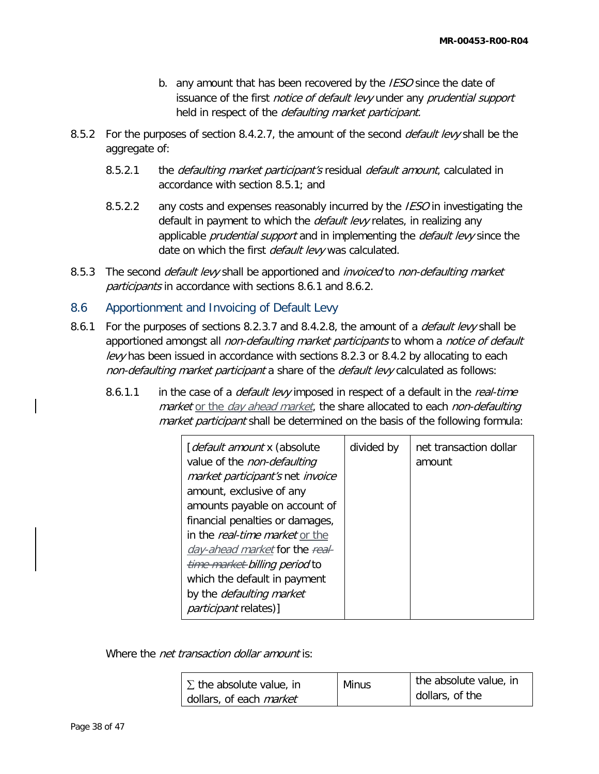- b. any amount that has been recovered by the IESO since the date of issuance of the first *notice of default levy* under any *prudential support* held in respect of the *defaulting market participant.*
- 8.5.2 For the purposes of section 8.4.2.7, the amount of the second *default levy* shall be the aggregate of:
	- 8.5.2.1 the *defaulting market participant's* residual *default amount*, calculated in accordance with section 8.5.1; and
	- 8.5.2.2 any costs and expenses reasonably incurred by the *IESO* in investigating the default in payment to which the *default levy* relates, in realizing any applicable *prudential support* and in implementing the *default levy* since the date on which the first *default levy* was calculated.
- 8.5.3 The second *default levy* shall be apportioned and *invoiced* to *non-defaulting market* participants in accordance with sections 8.6.1 and 8.6.2.
- 8.6 Apportionment and Invoicing of Default Levy
- 8.6.1 For the purposes of sections 8.2.3.7 and 8.4.2.8, the amount of a *default levy* shall be apportioned amongst all non-defaulting market participants to whom a notice of default levy has been issued in accordance with sections 8.2.3 or 8.4.2 by allocating to each non-defaulting market participant a share of the default levy calculated as follows:
	- 8.6.1.1 in the case of a *default levy* imposed in respect of a default in the *real-time* market or the day ahead market, the share allocated to each non-defaulting market participant shall be determined on the basis of the following formula:

| [ <i>default amount</i> x (absolute<br>value of the non-defaulting<br>market participant's net invoice<br>amount, exclusive of any<br>amounts payable on account of<br>financial penalties or damages,<br>in the <i>real-time market</i> or the<br>day-ahead market for the real-<br>time market billing period to<br>which the default in payment<br>by the <i>defaulting market</i> | divided by | net transaction dollar<br>amount |
|---------------------------------------------------------------------------------------------------------------------------------------------------------------------------------------------------------------------------------------------------------------------------------------------------------------------------------------------------------------------------------------|------------|----------------------------------|
| <i>participant</i> relates)]                                                                                                                                                                                                                                                                                                                                                          |            |                                  |

Where the *net transaction dollar amount* is:

| $\sum$ the absolute value, in  | Minus | the absolute value, in |
|--------------------------------|-------|------------------------|
| dollars, of each <i>market</i> |       | dollars, of the        |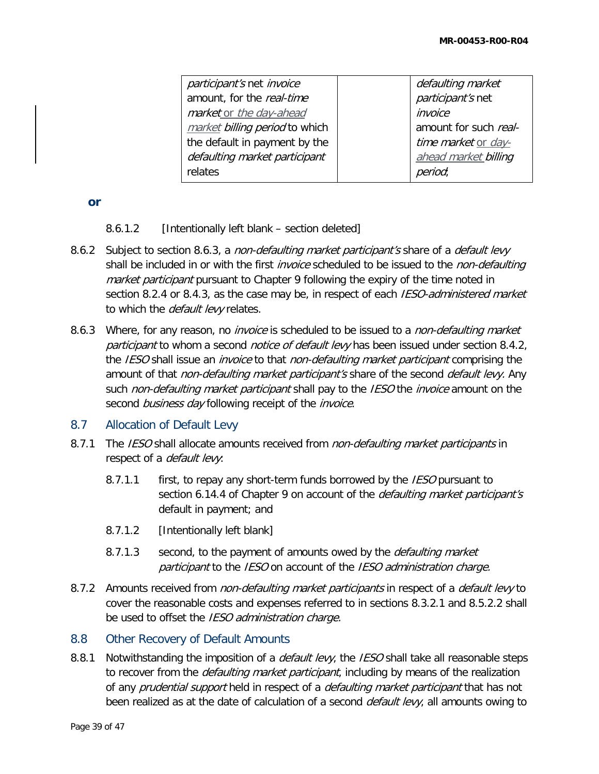| participant's net invoice      | defaulting market     |
|--------------------------------|-----------------------|
| amount, for the real-time      | participant's net     |
| market or the day-ahead        | invoice               |
| market billing period to which | amount for such real- |
| the default in payment by the  | time market or day-   |
| defaulting market participant  | ahead market billing  |
| relates                        | period;               |
|                                |                       |

**or**

- 8.6.1.2 [Intentionally left blank section deleted]
- 8.6.2 Subject to section 8.6.3, a non-defaulting market participant's share of a default levy shall be included in or with the first *invoice* scheduled to be issued to the *non-defaulting* market participant pursuant to Chapter 9 following the expiry of the time noted in section 8.2.4 or 8.4.3, as the case may be, in respect of each *IESO-administered market* to which the *default levy* relates.
- 8.6.3 Where, for any reason, no *invoice* is scheduled to be issued to a *non-defaulting market* participant to whom a second *notice of default levy* has been issued under section 8.4.2, the IESO shall issue an *invoice* to that *non-defaulting market participant* comprising the amount of that *non-defaulting market participant's* share of the second *default levy*. Any such *non-defaulting market participant* shall pay to the *IESO* the *invoice* amount on the second business day following receipt of the *invoice*.
- 8.7 Allocation of Default Levy
- 8.7.1 The IESO shall allocate amounts received from non-defaulting market participants in respect of a *default levy*:
	- 8.7.1.1 first, to repay any short-term funds borrowed by the *IESO* pursuant to section 6.14.4 of Chapter 9 on account of the *defaulting market participant's* default in payment; and
	- 8.7.1.2 [Intentionally left blank]
	- 8.7.1.3 second, to the payment of amounts owed by the *defaulting market* participant to the IESO on account of the IESO administration charge.
- 8.7.2 Amounts received from *non-defaulting market participants* in respect of a *default levy* to cover the reasonable costs and expenses referred to in sections 8.3.2.1 and 8.5.2.2 shall be used to offset the IESO administration charge.

### 8.8 Other Recovery of Default Amounts

8.8.1 Notwithstanding the imposition of a *default levy*, the *IESO* shall take all reasonable steps to recover from the *defaulting market participant*, including by means of the realization of any prudential support held in respect of a defaulting market participant that has not been realized as at the date of calculation of a second *default levy*, all amounts owing to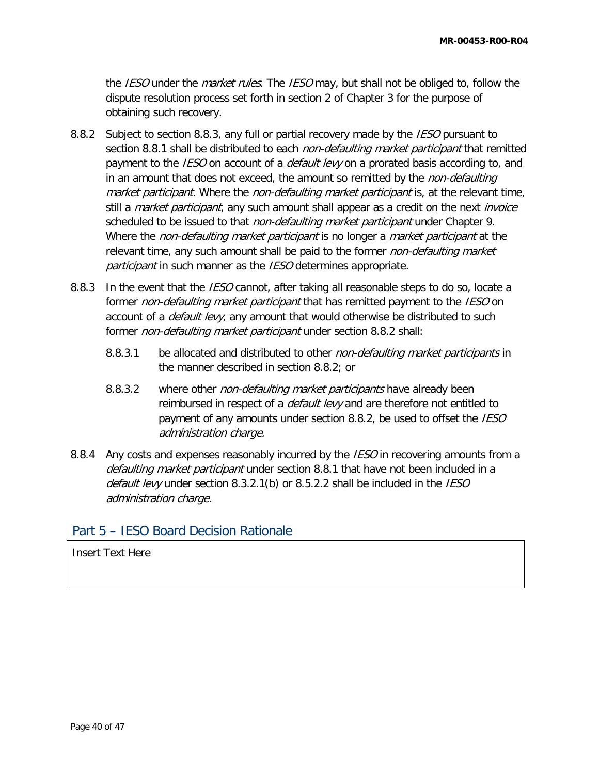the IESO under the *market rules*. The IESO may, but shall not be obliged to, follow the dispute resolution process set forth in section 2 of Chapter 3 for the purpose of obtaining such recovery.

- 8.8.2 Subject to section 8.8.3, any full or partial recovery made by the IESO pursuant to section 8.8.1 shall be distributed to each *non-defaulting market participant* that remitted payment to the *IESO* on account of a *default levy* on a prorated basis according to, and in an amount that does not exceed, the amount so remitted by the *non-defaulting* market participant. Where the non-defaulting market participant is, at the relevant time, still a *market participant*, any such amount shall appear as a credit on the next *invoice* scheduled to be issued to that *non-defaulting market participant* under Chapter 9. Where the non-defaulting market participant is no longer a market participant at the relevant time, any such amount shall be paid to the former non-defaulting market participant in such manner as the IESO determines appropriate.
- 8.8.3 In the event that the *IESO* cannot, after taking all reasonable steps to do so, locate a former *non-defaulting market participant* that has remitted payment to the *IESO* on account of a *default levy*, any amount that would otherwise be distributed to such former non-defaulting market participant under section 8.8.2 shall:
	- 8.8.3.1 be allocated and distributed to other *non-defaulting market participants* in the manner described in section 8.8.2; or
	- 8.8.3.2 where other *non-defaulting market participants* have already been reimbursed in respect of a *default levy* and are therefore not entitled to payment of any amounts under section 8.8.2, be used to offset the IESO administration charge.
- 8.8.4 Any costs and expenses reasonably incurred by the *IESO* in recovering amounts from a defaulting market participant under section 8.8.1 that have not been included in a default levy under section 8.3.2.1(b) or 8.5.2.2 shall be included in the IESO administration charge.

## Part 5 – IESO Board Decision Rationale

Insert Text Here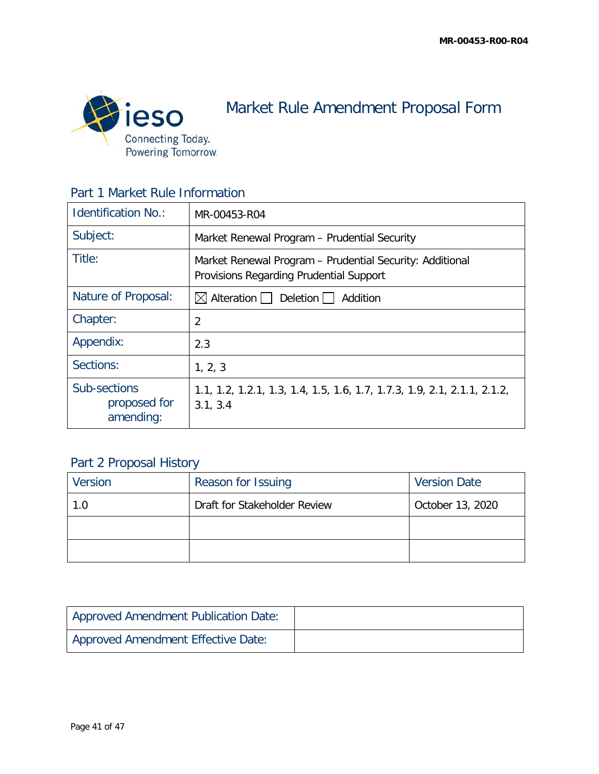

Market Rule Amendment Proposal Form

# Part 1 Market Rule Information

| <b>Identification No.:</b>                | MR-00453-R04                                                                                        |
|-------------------------------------------|-----------------------------------------------------------------------------------------------------|
| Subject:                                  | Market Renewal Program - Prudential Security                                                        |
| Title:                                    | Market Renewal Program - Prudential Security: Additional<br>Provisions Regarding Prudential Support |
| Nature of Proposal:                       | $\boxtimes$ Alteration     Deletion    <br>Addition                                                 |
| Chapter:                                  | 2                                                                                                   |
| Appendix:                                 | 2.3                                                                                                 |
| Sections:                                 | 1, 2, 3                                                                                             |
| Sub-sections<br>proposed for<br>amending: | 1.1, 1.2, 1.2.1, 1.3, 1.4, 1.5, 1.6, 1.7, 1.7.3, 1.9, 2.1, 2.1.1, 2.1.2,<br>3.1, 3.4                |

# Part 2 Proposal History

| Version | <b>Reason for Issuing</b>    | <b>Version Date</b> |
|---------|------------------------------|---------------------|
| 1.0     | Draft for Stakeholder Review | October 13, 2020    |
|         |                              |                     |
|         |                              |                     |

| <b>Approved Amendment Publication Date:</b> |  |
|---------------------------------------------|--|
| Approved Amendment Effective Date:          |  |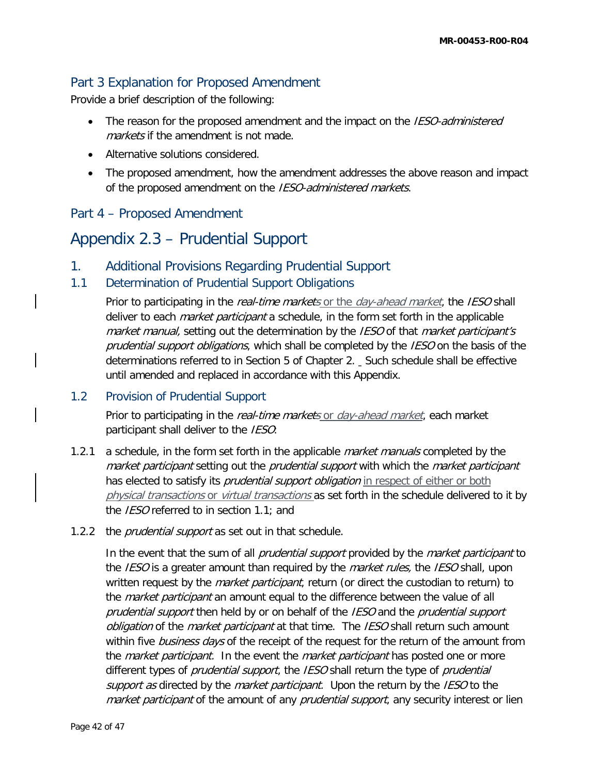# Part 3 Explanation for Proposed Amendment

Provide a brief description of the following:

- The reason for the proposed amendment and the impact on the *IESO-administered* markets if the amendment is not made.
- Alternative solutions considered.
- The proposed amendment, how the amendment addresses the above reason and impact of the proposed amendment on the IESO-administered markets.

# Part 4 – Proposed Amendment

# Appendix 2.3 – Prudential Support

1. Additional Provisions Regarding Prudential Support

### 1.1 Determination of Prudential Support Obligations

Prior to participating in the *real-time markets* or the *day-ahead market*, the *IESO* shall deliver to each *market participant* a schedule, in the form set forth in the applicable market manual, setting out the determination by the IESO of that market participant's prudential support obligations, which shall be completed by the IESO on the basis of the determinations referred to in Section 5 of Chapter 2. Such schedule shall be effective until amended and replaced in accordance with this Appendix.

### 1.2 Provision of Prudential Support

Prior to participating in the real-time markets or day-ahead market, each market participant shall deliver to the IESO:

- 1.2.1 a schedule, in the form set forth in the applicable *market manuals* completed by the market participant setting out the prudential support with which the market participant has elected to satisfy its *prudential support obligation* in respect of either or both physical transactions or virtual transactions as set forth in the schedule delivered to it by the *IESO* referred to in section 1.1; and
- 1.2.2 the *prudential support* as set out in that schedule.

In the event that the sum of all *prudential support* provided by the *market participant* to the IESO is a greater amount than required by the *market rules*, the IESO shall, upon written request by the *market participant*, return (or direct the custodian to return) to the *market participant* an amount equal to the difference between the value of all prudential support then held by or on behalf of the IESO and the prudential support obligation of the *market participant* at that time. The *IESO* shall return such amount within five business days of the receipt of the request for the return of the amount from the *market participant*. In the event the *market participant* has posted one or more different types of *prudential support*, the IESO shall return the type of *prudential* support as directed by the market participant. Upon the return by the IESO to the market participant of the amount of any prudential support, any security interest or lien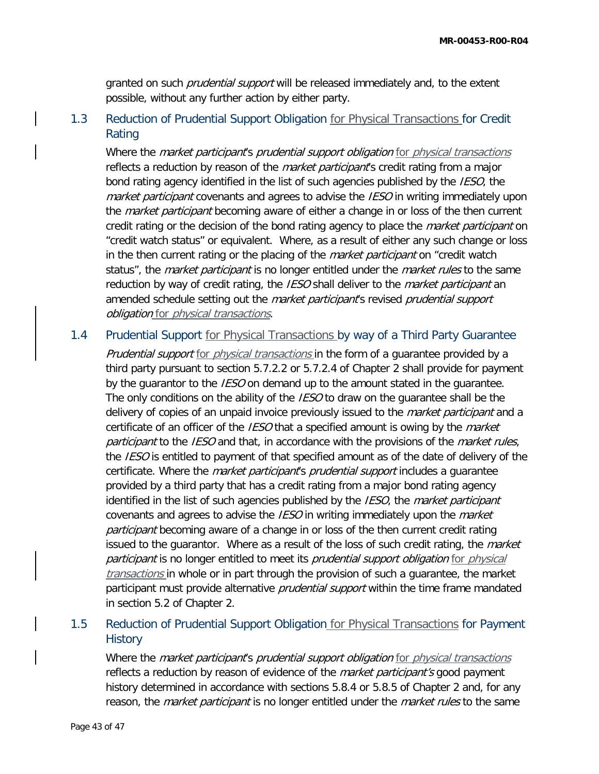granted on such *prudential support* will be released immediately and, to the extent possible, without any further action by either party.

# 1.3 Reduction of Prudential Support Obligation for Physical Transactions for Credit Rating

Where the *market participant's prudential support obligation* for *physical transactions* reflects a reduction by reason of the *market participant*'s credit rating from a major bond rating agency identified in the list of such agencies published by the *IESO*, the market participant covenants and agrees to advise the IESO in writing immediately upon the *market participant* becoming aware of either a change in or loss of the then current credit rating or the decision of the bond rating agency to place the *market participant* on "credit watch status" or equivalent. Where, as a result of either any such change or loss in the then current rating or the placing of the *market participant* on "credit watch status", the *market participant* is no longer entitled under the *market rules* to the same reduction by way of credit rating, the IESO shall deliver to the *market participant* an amended schedule setting out the *market participant*'s revised *prudential support* obligation for *physical transactions*.

### 1.4 Prudential Support for Physical Transactions by way of a Third Party Guarantee

Prudential support for physical transactions in the form of a guarantee provided by a third party pursuant to section 5.7.2.2 or 5.7.2.4 of Chapter 2 shall provide for payment by the quarantor to the *IESO* on demand up to the amount stated in the quarantee. The only conditions on the ability of the IESO to draw on the guarantee shall be the delivery of copies of an unpaid invoice previously issued to the *market participant* and a certificate of an officer of the *IESO* that a specified amount is owing by the *market* participant to the IESO and that, in accordance with the provisions of the market rules, the IESO is entitled to payment of that specified amount as of the date of delivery of the certificate. Where the *market participant's prudential support* includes a quarantee provided by a third party that has a credit rating from a major bond rating agency identified in the list of such agencies published by the *IESO*, the *market participant* covenants and agrees to advise the IESO in writing immediately upon the *market* participant becoming aware of a change in or loss of the then current credit rating issued to the guarantor. Where as a result of the loss of such credit rating, the *market* participant is no longer entitled to meet its prudential support obligation for physical transactions in whole or in part through the provision of such a guarantee, the market participant must provide alternative *prudential support* within the time frame mandated in section 5.2 of Chapter 2.

# 1.5 Reduction of Prudential Support Obligation for Physical Transactions for Payment **History**

Where the *market participant's prudential support obligation* for *physical transactions* reflects a reduction by reason of evidence of the *market participant's* good payment history determined in accordance with sections 5.8.4 or 5.8.5 of Chapter 2 and, for any reason, the *market participant* is no longer entitled under the *market rules* to the same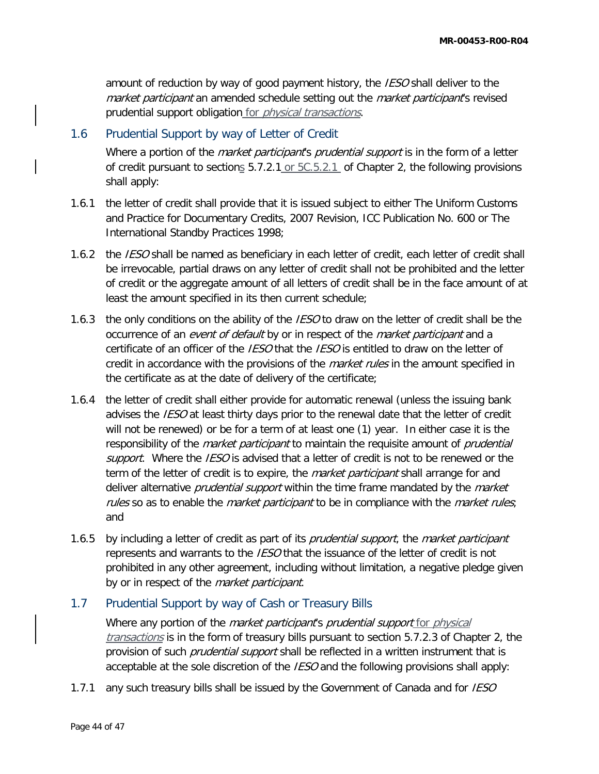amount of reduction by way of good payment history, the *IESO* shall deliver to the market participant an amended schedule setting out the market participant's revised prudential support obligation for *physical transactions*.

### 1.6 Prudential Support by way of Letter of Credit

Where a portion of the *market participant's prudential support* is in the form of a letter of credit pursuant to sections 5.7.2.1 or 5C.5.2.1 of Chapter 2, the following provisions shall apply:

- 1.6.1 the letter of credit shall provide that it is issued subject to either The Uniform Customs and Practice for Documentary Credits, 2007 Revision, ICC Publication No. 600 or The International Standby Practices 1998;
- 1.6.2 the *IESO* shall be named as beneficiary in each letter of credit, each letter of credit shall be irrevocable, partial draws on any letter of credit shall not be prohibited and the letter of credit or the aggregate amount of all letters of credit shall be in the face amount of at least the amount specified in its then current schedule;
- 1.6.3 the only conditions on the ability of the *IESO* to draw on the letter of credit shall be the occurrence of an *event of default* by or in respect of the *market participant* and a certificate of an officer of the *IESO* that the *IESO* is entitled to draw on the letter of credit in accordance with the provisions of the *market rules* in the amount specified in the certificate as at the date of delivery of the certificate;
- 1.6.4 the letter of credit shall either provide for automatic renewal (unless the issuing bank advises the *IESO* at least thirty days prior to the renewal date that the letter of credit will not be renewed) or be for a term of at least one (1) year. In either case it is the responsibility of the *market participant* to maintain the requisite amount of *prudential* support. Where the IESO is advised that a letter of credit is not to be renewed or the term of the letter of credit is to expire, the *market participant* shall arrange for and deliver alternative *prudential support* within the time frame mandated by the *market* rules so as to enable the *market participant* to be in compliance with the *market rules*; and
- 1.6.5 by including a letter of credit as part of its *prudential support*, the *market participant* represents and warrants to the IESO that the issuance of the letter of credit is not prohibited in any other agreement, including without limitation, a negative pledge given by or in respect of the *market participant*.

## 1.7 Prudential Support by way of Cash or Treasury Bills

Where any portion of the *market participant's prudential support* for *physical* transactions is in the form of treasury bills pursuant to section 5.7.2.3 of Chapter 2, the provision of such *prudential support* shall be reflected in a written instrument that is acceptable at the sole discretion of the *IESO* and the following provisions shall apply:

1.7.1 any such treasury bills shall be issued by the Government of Canada and for IESO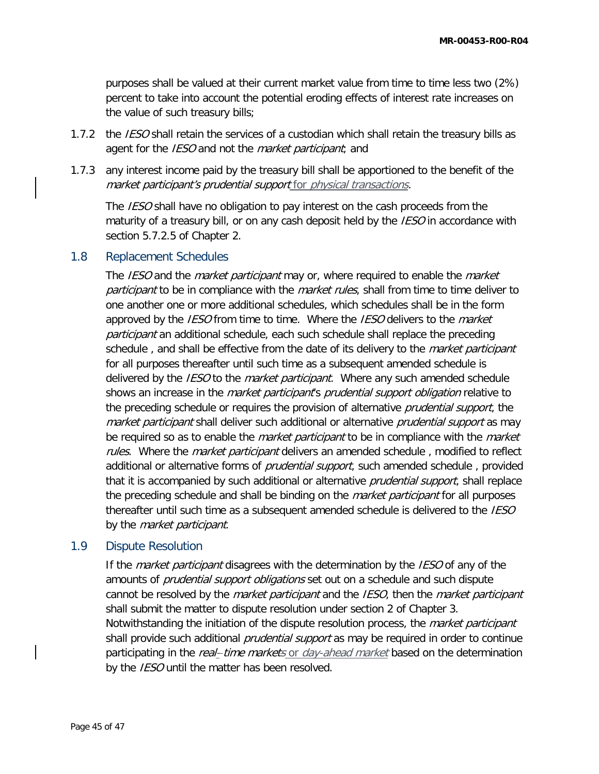purposes shall be valued at their current market value from time to time less two (2%) percent to take into account the potential eroding effects of interest rate increases on the value of such treasury bills;

- 1.7.2 the IESO shall retain the services of a custodian which shall retain the treasury bills as agent for the IESO and not the market participant; and
- 1.7.3 any interest income paid by the treasury bill shall be apportioned to the benefit of the market participant's prudential support for physical transactions.

The IESO shall have no obligation to pay interest on the cash proceeds from the maturity of a treasury bill, or on any cash deposit held by the *IESO* in accordance with section 5.7.2.5 of Chapter 2.

#### 1.8 Replacement Schedules

The IESO and the *market participant* may or, where required to enable the *market* participant to be in compliance with the market rules, shall from time to time deliver to one another one or more additional schedules, which schedules shall be in the form approved by the *IESO* from time to time. Where the *IESO* delivers to the *market* participant an additional schedule, each such schedule shall replace the preceding schedule, and shall be effective from the date of its delivery to the *market participant* for all purposes thereafter until such time as a subsequent amended schedule is delivered by the *IESO* to the *market participant*. Where any such amended schedule shows an increase in the *market participant's prudential support obligation* relative to the preceding schedule or requires the provision of alternative *prudential support*, the market participant shall deliver such additional or alternative prudential support as may be required so as to enable the *market participant* to be in compliance with the *market* rules. Where the *market participant* delivers an amended schedule, modified to reflect additional or alternative forms of *prudential support*, such amended schedule, provided that it is accompanied by such additional or alternative *prudential support*, shall replace the preceding schedule and shall be binding on the *market participant* for all purposes thereafter until such time as a subsequent amended schedule is delivered to the  $IESO$ by the *market participant*.

### 1.9 Dispute Resolution

If the *market participant* disagrees with the determination by the *IESO* of any of the amounts of *prudential support obligations* set out on a schedule and such dispute cannot be resolved by the *market participant* and the IESO, then the market participant shall submit the matter to dispute resolution under section 2 of Chapter 3. Notwithstanding the initiation of the dispute resolution process, the *market participant* shall provide such additional *prudential support* as may be required in order to continue participating in the *real-time markets* or *day-ahead market* based on the determination by the IESO until the matter has been resolved.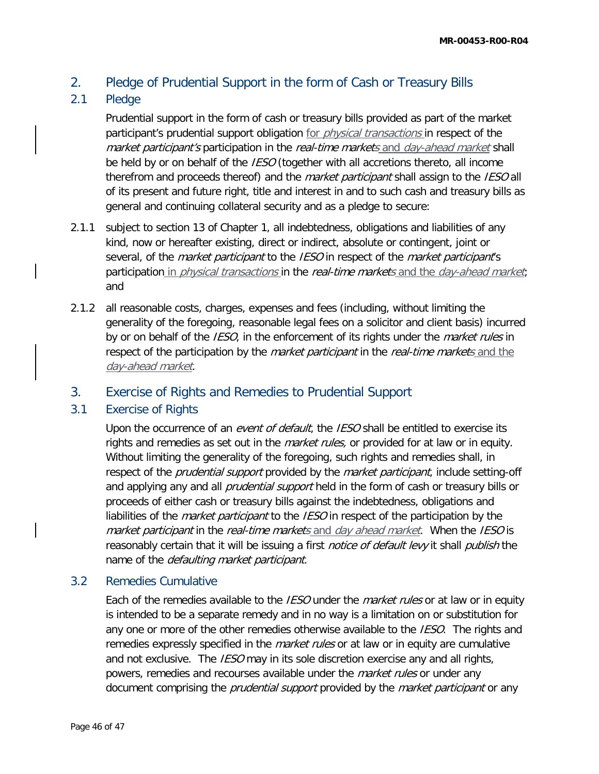# 2. Pledge of Prudential Support in the form of Cash or Treasury Bills

# 2.1 Pledge

Prudential support in the form of cash or treasury bills provided as part of the market participant's prudential support obligation for *physical transactions* in respect of the market participant's participation in the real-time markets and day-ahead market shall be held by or on behalf of the *IESO* (together with all accretions thereto, all income therefrom and proceeds thereof) and the *market participant* shall assign to the IESO all of its present and future right, title and interest in and to such cash and treasury bills as general and continuing collateral security and as a pledge to secure:

- 2.1.1 subject to section 13 of Chapter 1, all indebtedness, obligations and liabilities of any kind, now or hereafter existing, direct or indirect, absolute or contingent, joint or several, of the *market participant* to the IESO in respect of the *market participant's* participation in *physical transactions* in the real-time markets and the day-ahead market; and
- 2.1.2 all reasonable costs, charges, expenses and fees (including, without limiting the generality of the foregoing, reasonable legal fees on a solicitor and client basis) incurred by or on behalf of the *IESO*, in the enforcement of its rights under the *market rules* in respect of the participation by the *market participant* in the real-time markets and the day-ahead market.
- 3. Exercise of Rights and Remedies to Prudential Support

## 3.1 Exercise of Rights

Upon the occurrence of an *event of default*, the *IESO* shall be entitled to exercise its rights and remedies as set out in the *market rules*, or provided for at law or in equity. Without limiting the generality of the foregoing, such rights and remedies shall, in respect of the *prudential support* provided by the *market participant*, include setting-off and applying any and all *prudential support* held in the form of cash or treasury bills or proceeds of either cash or treasury bills against the indebtedness, obligations and liabilities of the *market participant* to the IESO in respect of the participation by the market participant in the real-time markets and day ahead market. When the IESO is reasonably certain that it will be issuing a first *notice of default levy* it shall *publish* the name of the *defaulting market participant*.

## 3.2 Remedies Cumulative

Each of the remedies available to the *IESO* under the *market rules* or at law or in equity is intended to be a separate remedy and in no way is a limitation on or substitution for any one or more of the other remedies otherwise available to the *IESO*. The rights and remedies expressly specified in the *market rules* or at law or in equity are cumulative and not exclusive. The *IESO* may in its sole discretion exercise any and all rights, powers, remedies and recourses available under the *market rules* or under any document comprising the *prudential support* provided by the *market participant* or any